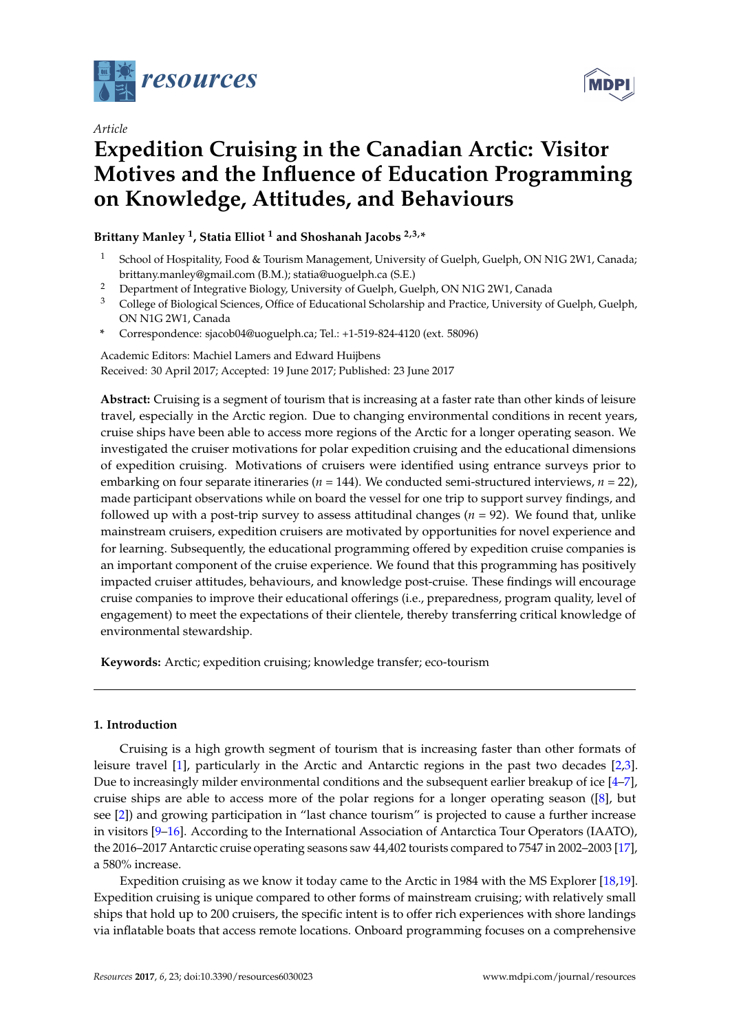

*Article*



# **Expedition Cruising in the Canadian Arctic: Visitor Motives and the Influence of Education Programming on Knowledge, Attitudes, and Behaviours**

# **Brittany Manley <sup>1</sup> , Statia Elliot <sup>1</sup> and Shoshanah Jacobs 2,3,\***

- <sup>1</sup> School of Hospitality, Food & Tourism Management, University of Guelph, Guelph, ON N1G 2W1, Canada; brittany.manley@gmail.com (B.M.); statia@uoguelph.ca (S.E.)
- <sup>2</sup> Department of Integrative Biology, University of Guelph, Guelph, ON N1G 2W1, Canada
- <sup>3</sup> College of Biological Sciences, Office of Educational Scholarship and Practice, University of Guelph, Guelph, ON N1G 2W1, Canada
- **\*** Correspondence: sjacob04@uoguelph.ca; Tel.: +1-519-824-4120 (ext. 58096)

Academic Editors: Machiel Lamers and Edward Huijbens Received: 30 April 2017; Accepted: 19 June 2017; Published: 23 June 2017

**Abstract:** Cruising is a segment of tourism that is increasing at a faster rate than other kinds of leisure travel, especially in the Arctic region. Due to changing environmental conditions in recent years, cruise ships have been able to access more regions of the Arctic for a longer operating season. We investigated the cruiser motivations for polar expedition cruising and the educational dimensions of expedition cruising. Motivations of cruisers were identified using entrance surveys prior to embarking on four separate itineraries (*n* = 144). We conducted semi-structured interviews, *n* = 22), made participant observations while on board the vessel for one trip to support survey findings, and followed up with a post-trip survey to assess attitudinal changes ( $n = 92$ ). We found that, unlike mainstream cruisers, expedition cruisers are motivated by opportunities for novel experience and for learning. Subsequently, the educational programming offered by expedition cruise companies is an important component of the cruise experience. We found that this programming has positively impacted cruiser attitudes, behaviours, and knowledge post-cruise. These findings will encourage cruise companies to improve their educational offerings (i.e., preparedness, program quality, level of engagement) to meet the expectations of their clientele, thereby transferring critical knowledge of environmental stewardship.

**Keywords:** Arctic; expedition cruising; knowledge transfer; eco-tourism

### **1. Introduction**

Cruising is a high growth segment of tourism that is increasing faster than other formats of leisure travel [\[1\]](#page-17-0), particularly in the Arctic and Antarctic regions in the past two decades [\[2,](#page-17-1)[3\]](#page-17-2). Due to increasingly milder environmental conditions and the subsequent earlier breakup of ice [\[4](#page-17-3)[–7\]](#page-17-4), cruise ships are able to access more of the polar regions for a longer operating season ([\[8\]](#page-17-5), but see [\[2\]](#page-17-1)) and growing participation in "last chance tourism" is projected to cause a further increase in visitors [\[9–](#page-17-6)[16\]](#page-18-0). According to the International Association of Antarctica Tour Operators (IAATO), the 2016–2017 Antarctic cruise operating seasons saw 44,402 tourists compared to 7547 in 2002–2003 [\[17\]](#page-18-1), a 580% increase.

Expedition cruising as we know it today came to the Arctic in 1984 with the MS Explorer [\[18,](#page-18-2)[19\]](#page-18-3). Expedition cruising is unique compared to other forms of mainstream cruising; with relatively small ships that hold up to 200 cruisers, the specific intent is to offer rich experiences with shore landings via inflatable boats that access remote locations. Onboard programming focuses on a comprehensive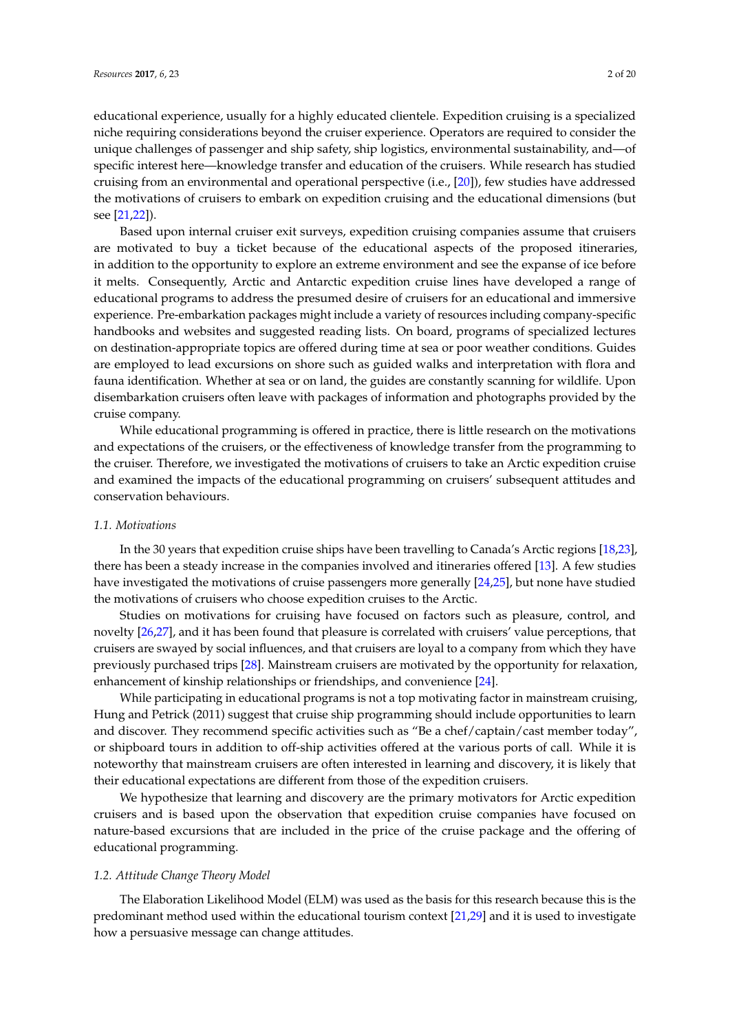educational experience, usually for a highly educated clientele. Expedition cruising is a specialized niche requiring considerations beyond the cruiser experience. Operators are required to consider the unique challenges of passenger and ship safety, ship logistics, environmental sustainability, and—of specific interest here—knowledge transfer and education of the cruisers. While research has studied cruising from an environmental and operational perspective (i.e., [\[20\]](#page-18-4)), few studies have addressed the motivations of cruisers to embark on expedition cruising and the educational dimensions (but see [\[21,](#page-18-5)[22\]](#page-18-6)).

Based upon internal cruiser exit surveys, expedition cruising companies assume that cruisers are motivated to buy a ticket because of the educational aspects of the proposed itineraries, in addition to the opportunity to explore an extreme environment and see the expanse of ice before it melts. Consequently, Arctic and Antarctic expedition cruise lines have developed a range of educational programs to address the presumed desire of cruisers for an educational and immersive experience. Pre-embarkation packages might include a variety of resources including company-specific handbooks and websites and suggested reading lists. On board, programs of specialized lectures on destination-appropriate topics are offered during time at sea or poor weather conditions. Guides are employed to lead excursions on shore such as guided walks and interpretation with flora and fauna identification. Whether at sea or on land, the guides are constantly scanning for wildlife. Upon disembarkation cruisers often leave with packages of information and photographs provided by the cruise company.

While educational programming is offered in practice, there is little research on the motivations and expectations of the cruisers, or the effectiveness of knowledge transfer from the programming to the cruiser. Therefore, we investigated the motivations of cruisers to take an Arctic expedition cruise and examined the impacts of the educational programming on cruisers' subsequent attitudes and conservation behaviours.

#### *1.1. Motivations*

In the 30 years that expedition cruise ships have been travelling to Canada's Arctic regions [\[18](#page-18-2)[,23\]](#page-18-7), there has been a steady increase in the companies involved and itineraries offered [\[13\]](#page-17-7). A few studies have investigated the motivations of cruise passengers more generally [\[24](#page-18-8)[,25\]](#page-18-9), but none have studied the motivations of cruisers who choose expedition cruises to the Arctic.

Studies on motivations for cruising have focused on factors such as pleasure, control, and novelty [\[26,](#page-18-10)[27\]](#page-18-11), and it has been found that pleasure is correlated with cruisers' value perceptions, that cruisers are swayed by social influences, and that cruisers are loyal to a company from which they have previously purchased trips [\[28\]](#page-18-12). Mainstream cruisers are motivated by the opportunity for relaxation, enhancement of kinship relationships or friendships, and convenience [\[24\]](#page-18-8).

While participating in educational programs is not a top motivating factor in mainstream cruising, Hung and Petrick (2011) suggest that cruise ship programming should include opportunities to learn and discover. They recommend specific activities such as "Be a chef/captain/cast member today", or shipboard tours in addition to off-ship activities offered at the various ports of call. While it is noteworthy that mainstream cruisers are often interested in learning and discovery, it is likely that their educational expectations are different from those of the expedition cruisers.

We hypothesize that learning and discovery are the primary motivators for Arctic expedition cruisers and is based upon the observation that expedition cruise companies have focused on nature-based excursions that are included in the price of the cruise package and the offering of educational programming.

#### *1.2. Attitude Change Theory Model*

The Elaboration Likelihood Model (ELM) was used as the basis for this research because this is the predominant method used within the educational tourism context [\[21](#page-18-5)[,29\]](#page-18-13) and it is used to investigate how a persuasive message can change attitudes.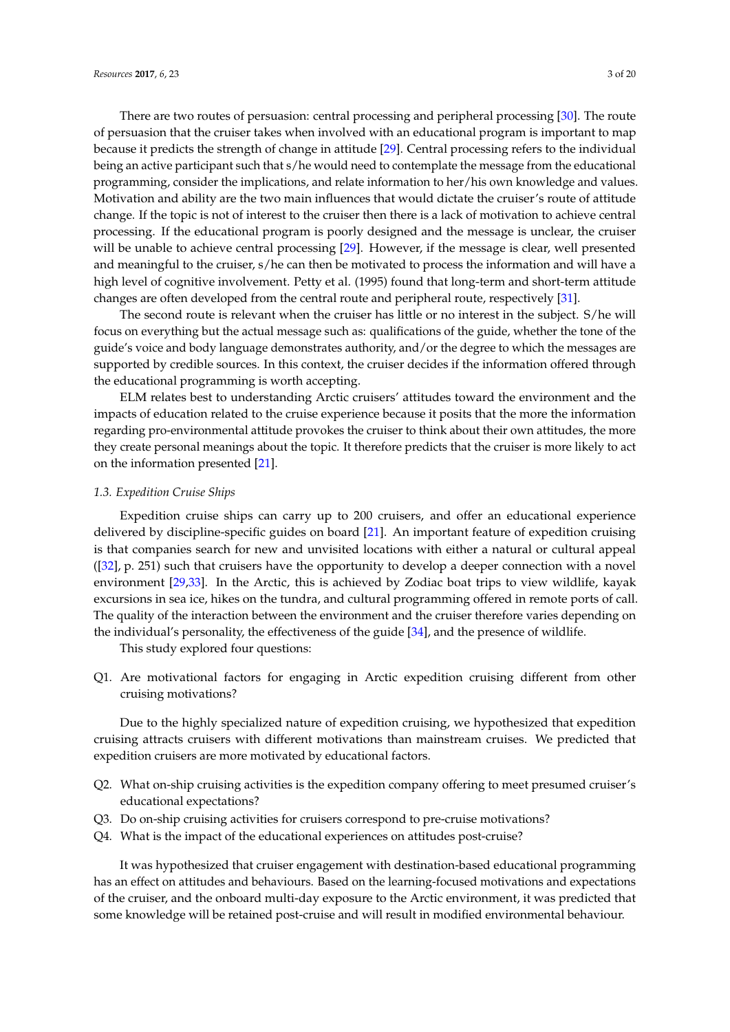There are two routes of persuasion: central processing and peripheral processing [\[30\]](#page-18-14). The route of persuasion that the cruiser takes when involved with an educational program is important to map because it predicts the strength of change in attitude [\[29\]](#page-18-13). Central processing refers to the individual being an active participant such that s/he would need to contemplate the message from the educational programming, consider the implications, and relate information to her/his own knowledge and values. Motivation and ability are the two main influences that would dictate the cruiser's route of attitude change. If the topic is not of interest to the cruiser then there is a lack of motivation to achieve central processing. If the educational program is poorly designed and the message is unclear, the cruiser will be unable to achieve central processing [\[29\]](#page-18-13). However, if the message is clear, well presented and meaningful to the cruiser, s/he can then be motivated to process the information and will have a high level of cognitive involvement. Petty et al. (1995) found that long-term and short-term attitude changes are often developed from the central route and peripheral route, respectively [\[31\]](#page-18-15).

The second route is relevant when the cruiser has little or no interest in the subject. S/he will focus on everything but the actual message such as: qualifications of the guide, whether the tone of the guide's voice and body language demonstrates authority, and/or the degree to which the messages are supported by credible sources. In this context, the cruiser decides if the information offered through the educational programming is worth accepting.

ELM relates best to understanding Arctic cruisers' attitudes toward the environment and the impacts of education related to the cruise experience because it posits that the more the information regarding pro-environmental attitude provokes the cruiser to think about their own attitudes, the more they create personal meanings about the topic. It therefore predicts that the cruiser is more likely to act on the information presented [\[21\]](#page-18-5).

#### *1.3. Expedition Cruise Ships*

Expedition cruise ships can carry up to 200 cruisers, and offer an educational experience delivered by discipline-specific guides on board [\[21\]](#page-18-5). An important feature of expedition cruising is that companies search for new and unvisited locations with either a natural or cultural appeal ([\[32\]](#page-18-16), p. 251) such that cruisers have the opportunity to develop a deeper connection with a novel environment [\[29](#page-18-13)[,33\]](#page-18-17). In the Arctic, this is achieved by Zodiac boat trips to view wildlife, kayak excursions in sea ice, hikes on the tundra, and cultural programming offered in remote ports of call. The quality of the interaction between the environment and the cruiser therefore varies depending on the individual's personality, the effectiveness of the guide [\[34\]](#page-18-18), and the presence of wildlife.

This study explored four questions:

Q1. Are motivational factors for engaging in Arctic expedition cruising different from other cruising motivations?

Due to the highly specialized nature of expedition cruising, we hypothesized that expedition cruising attracts cruisers with different motivations than mainstream cruises. We predicted that expedition cruisers are more motivated by educational factors.

- Q2. What on-ship cruising activities is the expedition company offering to meet presumed cruiser's educational expectations?
- Q3. Do on-ship cruising activities for cruisers correspond to pre-cruise motivations?
- Q4. What is the impact of the educational experiences on attitudes post-cruise?

It was hypothesized that cruiser engagement with destination-based educational programming has an effect on attitudes and behaviours. Based on the learning-focused motivations and expectations of the cruiser, and the onboard multi-day exposure to the Arctic environment, it was predicted that some knowledge will be retained post-cruise and will result in modified environmental behaviour.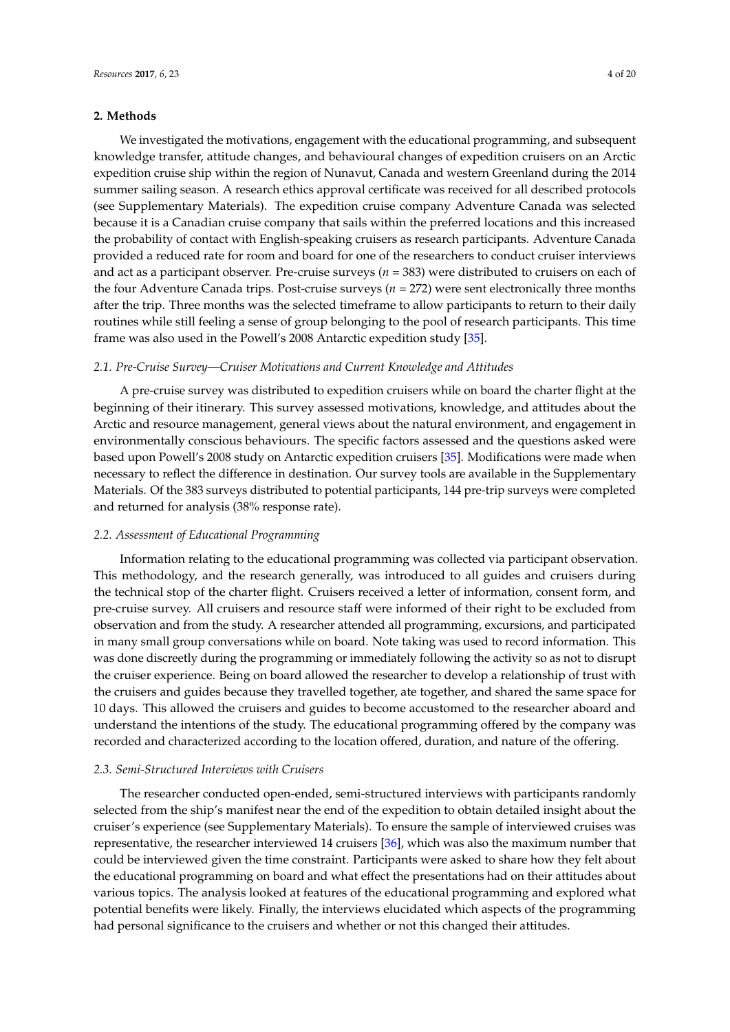#### **2. Methods**

We investigated the motivations, engagement with the educational programming, and subsequent knowledge transfer, attitude changes, and behavioural changes of expedition cruisers on an Arctic expedition cruise ship within the region of Nunavut, Canada and western Greenland during the 2014 summer sailing season. A research ethics approval certificate was received for all described protocols (see Supplementary Materials). The expedition cruise company Adventure Canada was selected because it is a Canadian cruise company that sails within the preferred locations and this increased the probability of contact with English-speaking cruisers as research participants. Adventure Canada provided a reduced rate for room and board for one of the researchers to conduct cruiser interviews and act as a participant observer. Pre-cruise surveys (*n* = 383) were distributed to cruisers on each of the four Adventure Canada trips. Post-cruise surveys (*n* = 272) were sent electronically three months after the trip. Three months was the selected timeframe to allow participants to return to their daily routines while still feeling a sense of group belonging to the pool of research participants. This time frame was also used in the Powell's 2008 Antarctic expedition study [\[35\]](#page-18-19).

#### *2.1. Pre-Cruise Survey—Cruiser Motivations and Current Knowledge and Attitudes*

A pre-cruise survey was distributed to expedition cruisers while on board the charter flight at the beginning of their itinerary. This survey assessed motivations, knowledge, and attitudes about the Arctic and resource management, general views about the natural environment, and engagement in environmentally conscious behaviours. The specific factors assessed and the questions asked were based upon Powell's 2008 study on Antarctic expedition cruisers [\[35\]](#page-18-19). Modifications were made when necessary to reflect the difference in destination. Our survey tools are available in the Supplementary Materials. Of the 383 surveys distributed to potential participants, 144 pre-trip surveys were completed and returned for analysis (38% response rate).

#### *2.2. Assessment of Educational Programming*

Information relating to the educational programming was collected via participant observation. This methodology, and the research generally, was introduced to all guides and cruisers during the technical stop of the charter flight. Cruisers received a letter of information, consent form, and pre-cruise survey. All cruisers and resource staff were informed of their right to be excluded from observation and from the study. A researcher attended all programming, excursions, and participated in many small group conversations while on board. Note taking was used to record information. This was done discreetly during the programming or immediately following the activity so as not to disrupt the cruiser experience. Being on board allowed the researcher to develop a relationship of trust with the cruisers and guides because they travelled together, ate together, and shared the same space for 10 days. This allowed the cruisers and guides to become accustomed to the researcher aboard and understand the intentions of the study. The educational programming offered by the company was recorded and characterized according to the location offered, duration, and nature of the offering.

#### *2.3. Semi-Structured Interviews with Cruisers*

The researcher conducted open-ended, semi-structured interviews with participants randomly selected from the ship's manifest near the end of the expedition to obtain detailed insight about the cruiser's experience (see Supplementary Materials). To ensure the sample of interviewed cruises was representative, the researcher interviewed 14 cruisers [\[36\]](#page-18-20), which was also the maximum number that could be interviewed given the time constraint. Participants were asked to share how they felt about the educational programming on board and what effect the presentations had on their attitudes about various topics. The analysis looked at features of the educational programming and explored what potential benefits were likely. Finally, the interviews elucidated which aspects of the programming had personal significance to the cruisers and whether or not this changed their attitudes.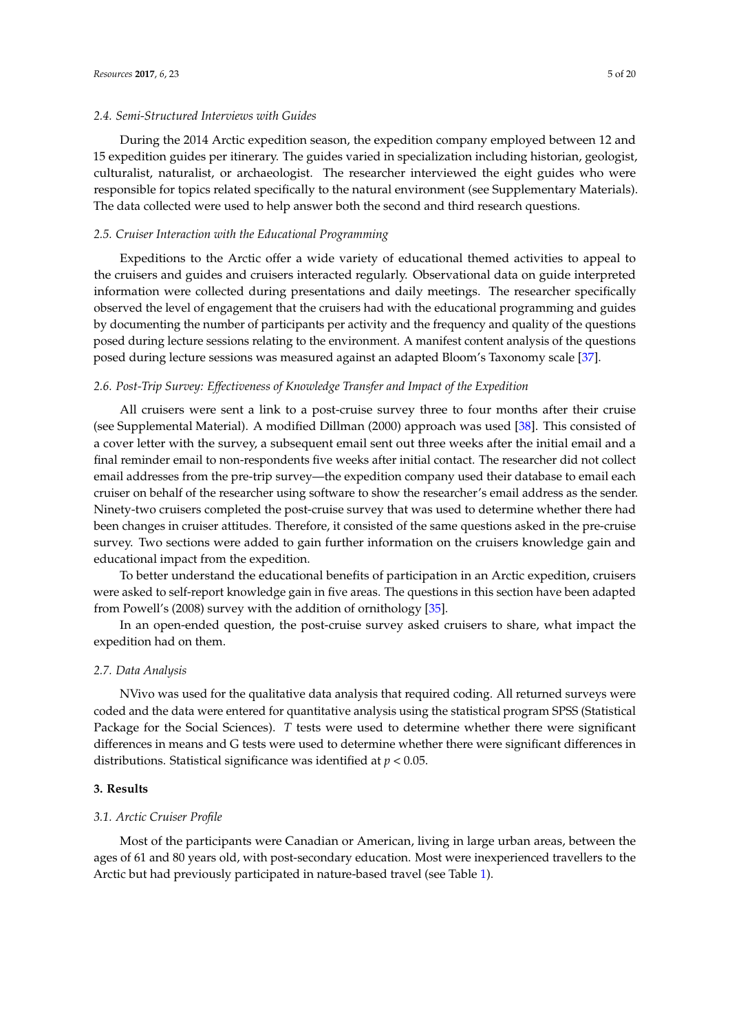#### *2.4. Semi-Structured Interviews with Guides*

During the 2014 Arctic expedition season, the expedition company employed between 12 and 15 expedition guides per itinerary. The guides varied in specialization including historian, geologist, culturalist, naturalist, or archaeologist. The researcher interviewed the eight guides who were responsible for topics related specifically to the natural environment (see Supplementary Materials). The data collected were used to help answer both the second and third research questions.

#### *2.5. Cruiser Interaction with the Educational Programming*

Expeditions to the Arctic offer a wide variety of educational themed activities to appeal to the cruisers and guides and cruisers interacted regularly. Observational data on guide interpreted information were collected during presentations and daily meetings. The researcher specifically observed the level of engagement that the cruisers had with the educational programming and guides by documenting the number of participants per activity and the frequency and quality of the questions posed during lecture sessions relating to the environment. A manifest content analysis of the questions posed during lecture sessions was measured against an adapted Bloom's Taxonomy scale [\[37\]](#page-18-21).

#### *2.6. Post-Trip Survey: Effectiveness of Knowledge Transfer and Impact of the Expedition*

All cruisers were sent a link to a post-cruise survey three to four months after their cruise (see Supplemental Material). A modified Dillman (2000) approach was used [\[38\]](#page-18-22). This consisted of a cover letter with the survey, a subsequent email sent out three weeks after the initial email and a final reminder email to non-respondents five weeks after initial contact. The researcher did not collect email addresses from the pre-trip survey—the expedition company used their database to email each cruiser on behalf of the researcher using software to show the researcher's email address as the sender. Ninety-two cruisers completed the post-cruise survey that was used to determine whether there had been changes in cruiser attitudes. Therefore, it consisted of the same questions asked in the pre-cruise survey. Two sections were added to gain further information on the cruisers knowledge gain and educational impact from the expedition.

To better understand the educational benefits of participation in an Arctic expedition, cruisers were asked to self-report knowledge gain in five areas. The questions in this section have been adapted from Powell's (2008) survey with the addition of ornithology [\[35\]](#page-18-19).

In an open-ended question, the post-cruise survey asked cruisers to share, what impact the expedition had on them.

#### *2.7. Data Analysis*

NVivo was used for the qualitative data analysis that required coding. All returned surveys were coded and the data were entered for quantitative analysis using the statistical program SPSS (Statistical Package for the Social Sciences). *T* tests were used to determine whether there were significant differences in means and G tests were used to determine whether there were significant differences in distributions. Statistical significance was identified at *p* < 0.05.

#### **3. Results**

#### *3.1. Arctic Cruiser Profile*

Most of the participants were Canadian or American, living in large urban areas, between the ages of 61 and 80 years old, with post-secondary education. Most were inexperienced travellers to the Arctic but had previously participated in nature-based travel (see Table [1\)](#page-5-0).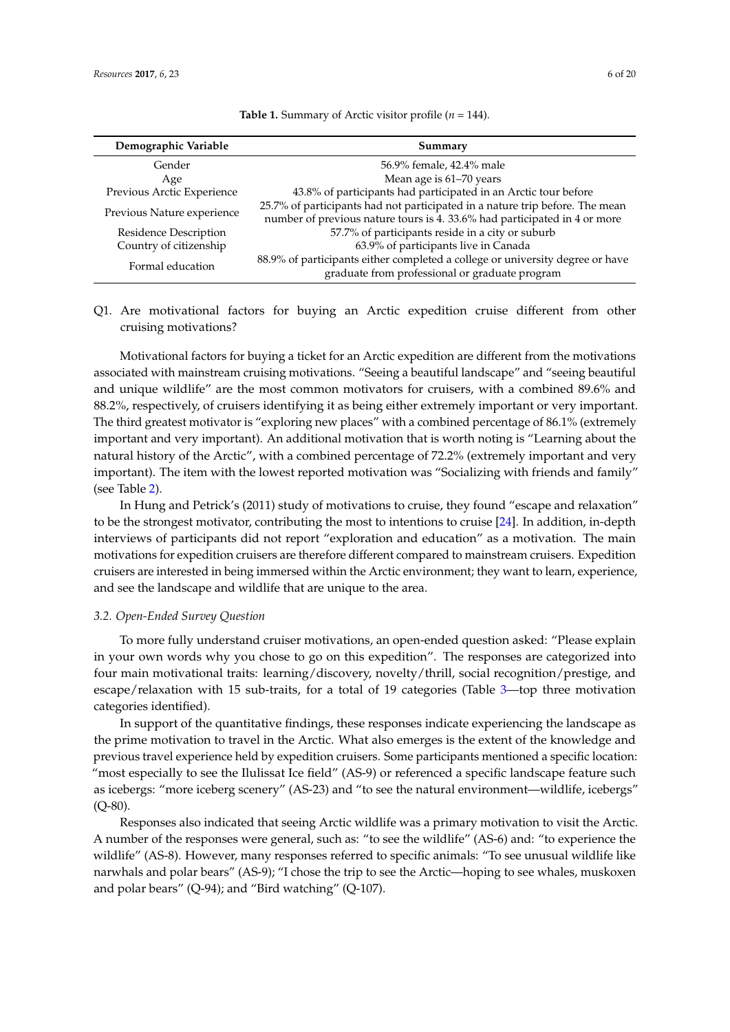<span id="page-5-0"></span>

| Demographic Variable       | Summary                                                                                                                                                   |  |  |
|----------------------------|-----------------------------------------------------------------------------------------------------------------------------------------------------------|--|--|
| Gender                     | 56.9% female, 42.4% male                                                                                                                                  |  |  |
| Age                        | Mean age is 61-70 years                                                                                                                                   |  |  |
| Previous Arctic Experience | 43.8% of participants had participated in an Arctic tour before                                                                                           |  |  |
| Previous Nature experience | 25.7% of participants had not participated in a nature trip before. The mean<br>number of previous nature tours is 4. 33.6% had participated in 4 or more |  |  |
| Residence Description      | 57.7% of participants reside in a city or suburb                                                                                                          |  |  |
| Country of citizenship     | 63.9% of participants live in Canada                                                                                                                      |  |  |
| Formal education           | 88.9% of participants either completed a college or university degree or have<br>graduate from professional or graduate program                           |  |  |

**Table 1.** Summary of Arctic visitor profile (*n* = 144).

Q1. Are motivational factors for buying an Arctic expedition cruise different from other cruising motivations?

Motivational factors for buying a ticket for an Arctic expedition are different from the motivations associated with mainstream cruising motivations. "Seeing a beautiful landscape" and "seeing beautiful and unique wildlife" are the most common motivators for cruisers, with a combined 89.6% and 88.2%, respectively, of cruisers identifying it as being either extremely important or very important. The third greatest motivator is "exploring new places" with a combined percentage of 86.1% (extremely important and very important). An additional motivation that is worth noting is "Learning about the natural history of the Arctic", with a combined percentage of 72.2% (extremely important and very important). The item with the lowest reported motivation was "Socializing with friends and family" (see Table [2\)](#page-6-0).

In Hung and Petrick's (2011) study of motivations to cruise, they found "escape and relaxation" to be the strongest motivator, contributing the most to intentions to cruise [\[24\]](#page-18-8). In addition, in-depth interviews of participants did not report "exploration and education" as a motivation. The main motivations for expedition cruisers are therefore different compared to mainstream cruisers. Expedition cruisers are interested in being immersed within the Arctic environment; they want to learn, experience, and see the landscape and wildlife that are unique to the area.

#### *3.2. Open-Ended Survey Question*

To more fully understand cruiser motivations, an open-ended question asked: "Please explain in your own words why you chose to go on this expedition". The responses are categorized into four main motivational traits: learning/discovery, novelty/thrill, social recognition/prestige, and escape/relaxation with 15 sub-traits, for a total of 19 categories (Table [3—](#page-7-0)top three motivation categories identified).

In support of the quantitative findings, these responses indicate experiencing the landscape as the prime motivation to travel in the Arctic. What also emerges is the extent of the knowledge and previous travel experience held by expedition cruisers. Some participants mentioned a specific location: "most especially to see the Ilulissat Ice field" (AS-9) or referenced a specific landscape feature such as icebergs: "more iceberg scenery" (AS-23) and "to see the natural environment—wildlife, icebergs" (Q-80).

Responses also indicated that seeing Arctic wildlife was a primary motivation to visit the Arctic. A number of the responses were general, such as: "to see the wildlife" (AS-6) and: "to experience the wildlife" (AS-8). However, many responses referred to specific animals: "To see unusual wildlife like narwhals and polar bears" (AS-9); "I chose the trip to see the Arctic—hoping to see whales, muskoxen and polar bears" (Q-94); and "Bird watching" (Q-107).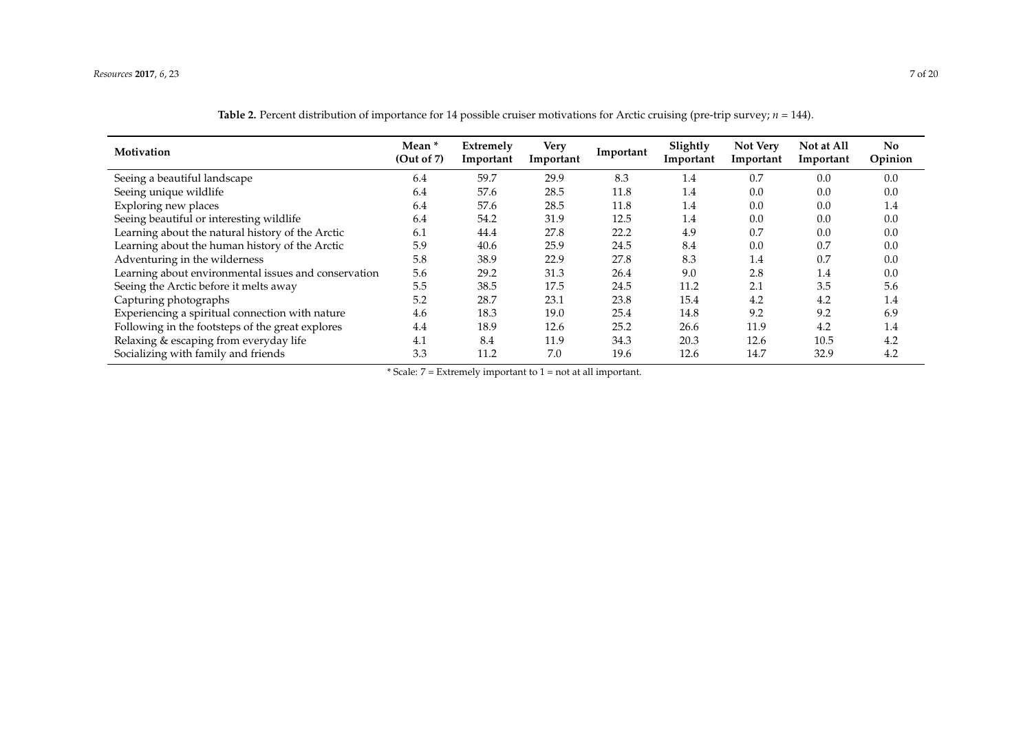<span id="page-6-0"></span>

| Motivation                                           | Mean *<br>(Out of 7) | Extremely<br>Important | <b>Very</b><br>Important | Important | Slightly<br>Important | <b>Not Very</b><br>Important | Not at All<br>Important | No.<br>Opinion |
|------------------------------------------------------|----------------------|------------------------|--------------------------|-----------|-----------------------|------------------------------|-------------------------|----------------|
| Seeing a beautiful landscape                         | 6.4                  | 59.7                   | 29.9                     | 8.3       | 1.4                   | 0.7                          | 0.0                     | 0.0            |
| Seeing unique wildlife                               | 6.4                  | 57.6                   | 28.5                     | 11.8      | 1.4                   | 0.0                          | 0.0                     | 0.0            |
| Exploring new places                                 | 6.4                  | 57.6                   | 28.5                     | 11.8      | 1.4                   | 0.0                          | 0.0                     | 1.4            |
| Seeing beautiful or interesting wildlife             | 6.4                  | 54.2                   | 31.9                     | 12.5      | 1.4                   | 0.0                          | 0.0                     | 0.0            |
| Learning about the natural history of the Arctic     | 6.1                  | 44.4                   | 27.8                     | 22.2      | 4.9                   | 0.7                          | 0.0                     | 0.0            |
| Learning about the human history of the Arctic       | 5.9                  | 40.6                   | 25.9                     | 24.5      | 8.4                   | 0.0                          | 0.7                     | 0.0            |
| Adventuring in the wilderness                        | 5.8                  | 38.9                   | 22.9                     | 27.8      | 8.3                   | 1.4                          | 0.7                     | 0.0            |
| Learning about environmental issues and conservation | 5.6                  | 29.2                   | 31.3                     | 26.4      | 9.0                   | 2.8                          | 1.4                     | 0.0            |
| Seeing the Arctic before it melts away               | 5.5                  | 38.5                   | 17.5                     | 24.5      | 11.2                  | 2.1                          | 3.5                     | 5.6            |
| Capturing photographs                                | 5.2                  | 28.7                   | 23.1                     | 23.8      | 15.4                  | 4.2                          | 4.2                     | 1.4            |
| Experiencing a spiritual connection with nature      | 4.6                  | 18.3                   | 19.0                     | 25.4      | 14.8                  | 9.2                          | 9.2                     | 6.9            |
| Following in the footsteps of the great explores     | 4.4                  | 18.9                   | 12.6                     | 25.2      | 26.6                  | 11.9                         | 4.2                     | 1.4            |
| Relaxing & escaping from everyday life               | 4.1                  | 8.4                    | 11.9                     | 34.3      | 20.3                  | 12.6                         | 10.5                    | 4.2            |
| Socializing with family and friends                  | 3.3                  | 11.2                   | 7.0                      | 19.6      | 12.6                  | 14.7                         | 32.9                    | 4.2            |

**Table 2.** Percent distribution of importance for 14 possible cruiser motivations for Arctic cruising (pre-trip survey; *n* = 144).

\* Scale:  $7 =$  Extremely important to  $1 =$  not at all important.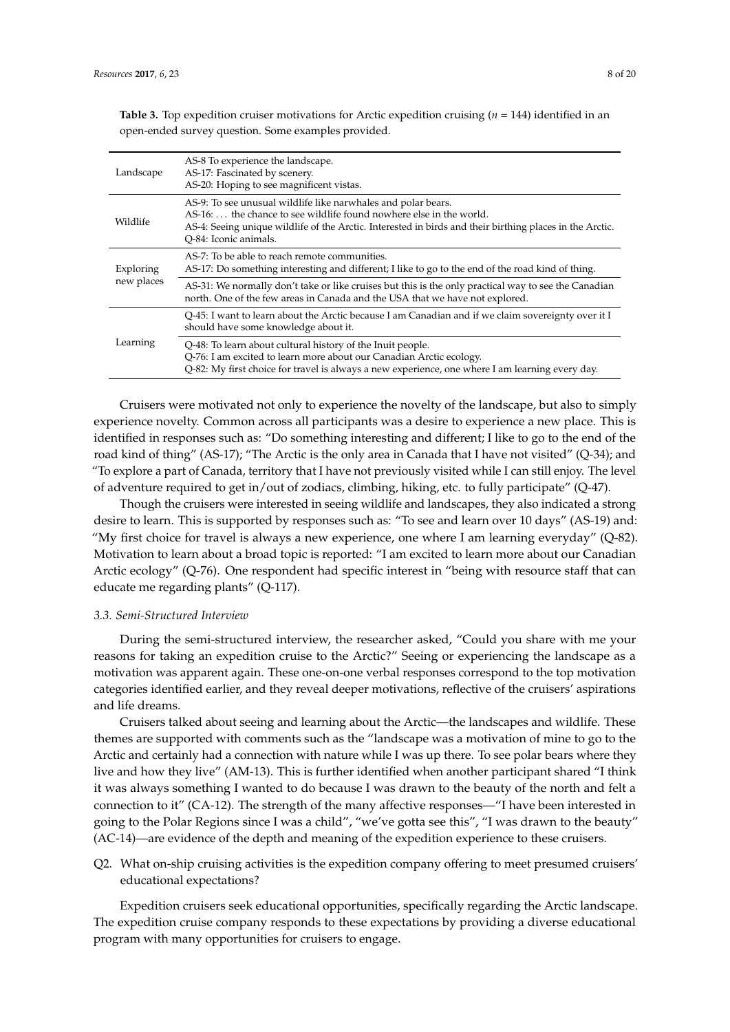| Landscape  | AS-8 To experience the landscape.<br>AS-17: Fascinated by scenery.<br>AS-20: Hoping to see magnificent vistas.                                                                                                                                                            |
|------------|---------------------------------------------------------------------------------------------------------------------------------------------------------------------------------------------------------------------------------------------------------------------------|
| Wildlife   | AS-9: To see unusual wildlife like narwhales and polar bears.<br>AS-16:  the chance to see wildlife found nowhere else in the world.<br>AS-4: Seeing unique wildlife of the Arctic. Interested in birds and their birthing places in the Arctic.<br>O-84: Iconic animals. |
| Exploring  | AS-7: To be able to reach remote communities.<br>AS-17: Do something interesting and different; I like to go to the end of the road kind of thing.                                                                                                                        |
| new places | AS-31: We normally don't take or like cruises but this is the only practical way to see the Canadian<br>north. One of the few areas in Canada and the USA that we have not explored.                                                                                      |
|            | Q-45: I want to learn about the Arctic because I am Canadian and if we claim sovereignty over it I<br>should have some knowledge about it.                                                                                                                                |
| Learning   | Q-48: To learn about cultural history of the Inuit people.<br>Q-76: I am excited to learn more about our Canadian Arctic ecology.<br>Q-82: My first choice for travel is always a new experience, one where I am learning every day.                                      |

<span id="page-7-0"></span>**Table 3.** Top expedition cruiser motivations for Arctic expedition cruising (*n* = 144) identified in an open-ended survey question. Some examples provided.

Cruisers were motivated not only to experience the novelty of the landscape, but also to simply experience novelty. Common across all participants was a desire to experience a new place. This is identified in responses such as: "Do something interesting and different; I like to go to the end of the road kind of thing" (AS-17); "The Arctic is the only area in Canada that I have not visited" (Q-34); and "To explore a part of Canada, territory that I have not previously visited while I can still enjoy. The level of adventure required to get in/out of zodiacs, climbing, hiking, etc. to fully participate" (Q-47).

Though the cruisers were interested in seeing wildlife and landscapes, they also indicated a strong desire to learn. This is supported by responses such as: "To see and learn over 10 days" (AS-19) and: "My first choice for travel is always a new experience, one where I am learning everyday" (Q-82). Motivation to learn about a broad topic is reported: "I am excited to learn more about our Canadian Arctic ecology" (Q-76). One respondent had specific interest in "being with resource staff that can educate me regarding plants" (Q-117).

#### *3.3. Semi-Structured Interview*

During the semi-structured interview, the researcher asked, "Could you share with me your reasons for taking an expedition cruise to the Arctic?" Seeing or experiencing the landscape as a motivation was apparent again. These one-on-one verbal responses correspond to the top motivation categories identified earlier, and they reveal deeper motivations, reflective of the cruisers' aspirations and life dreams.

Cruisers talked about seeing and learning about the Arctic—the landscapes and wildlife. These themes are supported with comments such as the "landscape was a motivation of mine to go to the Arctic and certainly had a connection with nature while I was up there. To see polar bears where they live and how they live" (AM-13). This is further identified when another participant shared "I think it was always something I wanted to do because I was drawn to the beauty of the north and felt a connection to it" (CA-12). The strength of the many affective responses—"I have been interested in going to the Polar Regions since I was a child", "we've gotta see this", "I was drawn to the beauty" (AC-14)—are evidence of the depth and meaning of the expedition experience to these cruisers.

Q2. What on-ship cruising activities is the expedition company offering to meet presumed cruisers' educational expectations?

Expedition cruisers seek educational opportunities, specifically regarding the Arctic landscape. The expedition cruise company responds to these expectations by providing a diverse educational program with many opportunities for cruisers to engage.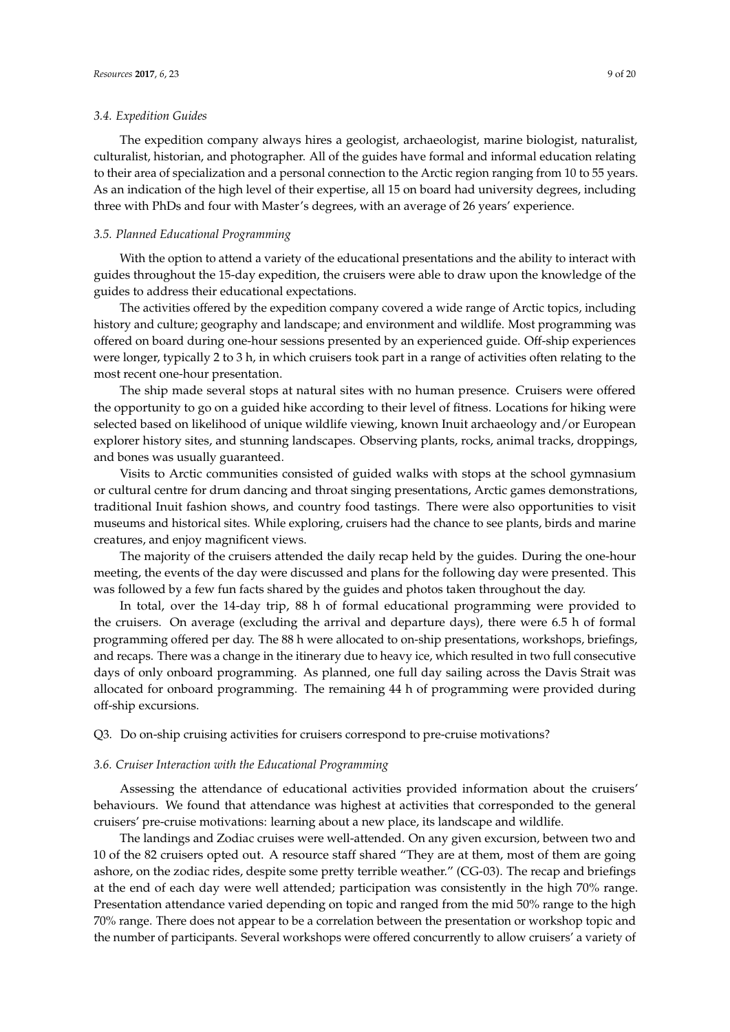#### *3.4. Expedition Guides*

The expedition company always hires a geologist, archaeologist, marine biologist, naturalist, culturalist, historian, and photographer. All of the guides have formal and informal education relating to their area of specialization and a personal connection to the Arctic region ranging from 10 to 55 years. As an indication of the high level of their expertise, all 15 on board had university degrees, including three with PhDs and four with Master's degrees, with an average of 26 years' experience.

#### *3.5. Planned Educational Programming*

With the option to attend a variety of the educational presentations and the ability to interact with guides throughout the 15-day expedition, the cruisers were able to draw upon the knowledge of the guides to address their educational expectations.

The activities offered by the expedition company covered a wide range of Arctic topics, including history and culture; geography and landscape; and environment and wildlife. Most programming was offered on board during one-hour sessions presented by an experienced guide. Off-ship experiences were longer, typically 2 to 3 h, in which cruisers took part in a range of activities often relating to the most recent one-hour presentation.

The ship made several stops at natural sites with no human presence. Cruisers were offered the opportunity to go on a guided hike according to their level of fitness. Locations for hiking were selected based on likelihood of unique wildlife viewing, known Inuit archaeology and/or European explorer history sites, and stunning landscapes. Observing plants, rocks, animal tracks, droppings, and bones was usually guaranteed.

Visits to Arctic communities consisted of guided walks with stops at the school gymnasium or cultural centre for drum dancing and throat singing presentations, Arctic games demonstrations, traditional Inuit fashion shows, and country food tastings. There were also opportunities to visit museums and historical sites. While exploring, cruisers had the chance to see plants, birds and marine creatures, and enjoy magnificent views.

The majority of the cruisers attended the daily recap held by the guides. During the one-hour meeting, the events of the day were discussed and plans for the following day were presented. This was followed by a few fun facts shared by the guides and photos taken throughout the day.

In total, over the 14-day trip, 88 h of formal educational programming were provided to the cruisers. On average (excluding the arrival and departure days), there were 6.5 h of formal programming offered per day. The 88 h were allocated to on-ship presentations, workshops, briefings, and recaps. There was a change in the itinerary due to heavy ice, which resulted in two full consecutive days of only onboard programming. As planned, one full day sailing across the Davis Strait was allocated for onboard programming. The remaining 44 h of programming were provided during off-ship excursions.

Q3. Do on-ship cruising activities for cruisers correspond to pre-cruise motivations?

#### *3.6. Cruiser Interaction with the Educational Programming*

Assessing the attendance of educational activities provided information about the cruisers' behaviours. We found that attendance was highest at activities that corresponded to the general cruisers' pre-cruise motivations: learning about a new place, its landscape and wildlife.

The landings and Zodiac cruises were well-attended. On any given excursion, between two and 10 of the 82 cruisers opted out. A resource staff shared "They are at them, most of them are going ashore, on the zodiac rides, despite some pretty terrible weather." (CG-03). The recap and briefings at the end of each day were well attended; participation was consistently in the high 70% range. Presentation attendance varied depending on topic and ranged from the mid 50% range to the high 70% range. There does not appear to be a correlation between the presentation or workshop topic and the number of participants. Several workshops were offered concurrently to allow cruisers' a variety of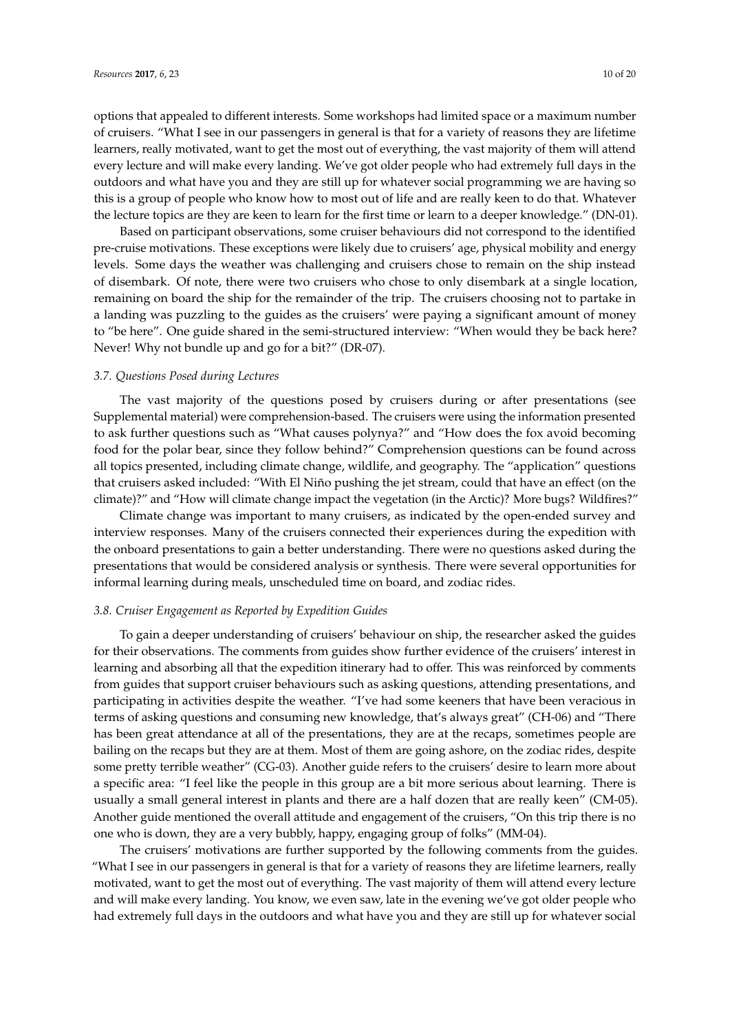options that appealed to different interests. Some workshops had limited space or a maximum number of cruisers. "What I see in our passengers in general is that for a variety of reasons they are lifetime learners, really motivated, want to get the most out of everything, the vast majority of them will attend every lecture and will make every landing. We've got older people who had extremely full days in the outdoors and what have you and they are still up for whatever social programming we are having so this is a group of people who know how to most out of life and are really keen to do that. Whatever the lecture topics are they are keen to learn for the first time or learn to a deeper knowledge." (DN-01).

Based on participant observations, some cruiser behaviours did not correspond to the identified pre-cruise motivations. These exceptions were likely due to cruisers' age, physical mobility and energy levels. Some days the weather was challenging and cruisers chose to remain on the ship instead of disembark. Of note, there were two cruisers who chose to only disembark at a single location, remaining on board the ship for the remainder of the trip. The cruisers choosing not to partake in a landing was puzzling to the guides as the cruisers' were paying a significant amount of money to "be here". One guide shared in the semi-structured interview: "When would they be back here? Never! Why not bundle up and go for a bit?" (DR-07).

#### *3.7. Questions Posed during Lectures*

The vast majority of the questions posed by cruisers during or after presentations (see Supplemental material) were comprehension-based. The cruisers were using the information presented to ask further questions such as "What causes polynya?" and "How does the fox avoid becoming food for the polar bear, since they follow behind?" Comprehension questions can be found across all topics presented, including climate change, wildlife, and geography. The "application" questions that cruisers asked included: "With El Niño pushing the jet stream, could that have an effect (on the climate)?" and "How will climate change impact the vegetation (in the Arctic)? More bugs? Wildfires?"

Climate change was important to many cruisers, as indicated by the open-ended survey and interview responses. Many of the cruisers connected their experiences during the expedition with the onboard presentations to gain a better understanding. There were no questions asked during the presentations that would be considered analysis or synthesis. There were several opportunities for informal learning during meals, unscheduled time on board, and zodiac rides.

#### *3.8. Cruiser Engagement as Reported by Expedition Guides*

To gain a deeper understanding of cruisers' behaviour on ship, the researcher asked the guides for their observations. The comments from guides show further evidence of the cruisers' interest in learning and absorbing all that the expedition itinerary had to offer. This was reinforced by comments from guides that support cruiser behaviours such as asking questions, attending presentations, and participating in activities despite the weather. "I've had some keeners that have been veracious in terms of asking questions and consuming new knowledge, that's always great" (CH-06) and "There has been great attendance at all of the presentations, they are at the recaps, sometimes people are bailing on the recaps but they are at them. Most of them are going ashore, on the zodiac rides, despite some pretty terrible weather" (CG-03). Another guide refers to the cruisers' desire to learn more about a specific area: "I feel like the people in this group are a bit more serious about learning. There is usually a small general interest in plants and there are a half dozen that are really keen" (CM-05). Another guide mentioned the overall attitude and engagement of the cruisers, "On this trip there is no one who is down, they are a very bubbly, happy, engaging group of folks" (MM-04).

The cruisers' motivations are further supported by the following comments from the guides. "What I see in our passengers in general is that for a variety of reasons they are lifetime learners, really motivated, want to get the most out of everything. The vast majority of them will attend every lecture and will make every landing. You know, we even saw, late in the evening we've got older people who had extremely full days in the outdoors and what have you and they are still up for whatever social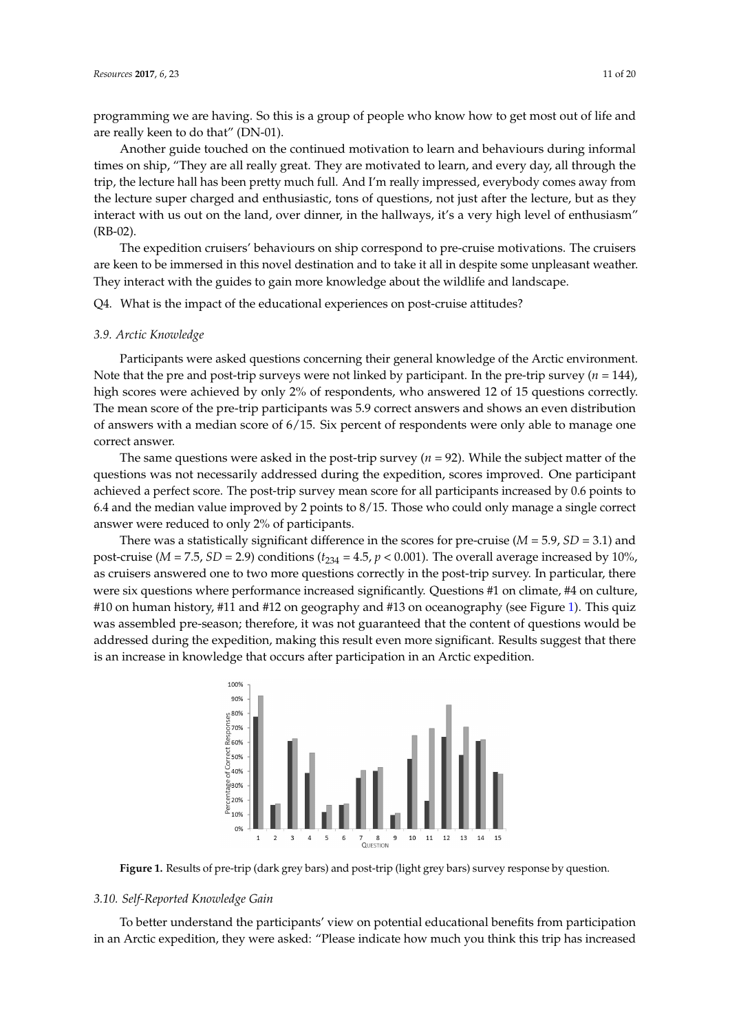programming we are having. So this is a group of people who know how to get most out of life and are really keen to do that" (DN-01).

Another guide touched on the continued motivation to learn and behaviours during informal times on ship, "They are all really great. They are motivated to learn, and every day, all through the trip, the lecture hall has been pretty much full. And I'm really impressed, everybody comes away from the lecture super charged and enthusiastic, tons of questions, not just after the lecture, but as they interact with us out on the land, over dinner, in the hallways, it's a very high level of enthusiasm" (RB-02).

The expedition cruisers' behaviours on ship correspond to pre-cruise motivations. The cruisers are keen to be immersed in this novel destination and to take it all in despite some unpleasant weather. They interact with the guides to gain more knowledge about the wildlife and landscape.

Q4. What is the impact of the educational experiences on post-cruise attitudes?

#### *3.9. Arctic Knowledge Resources* **2017**, *6*, 23 11 of 19

Participants were asked questions concerning their general knowledge of the Arctic environment. Note that the pre and post-trip surveys were not linked by participant. In the pre-trip survey  $(n = 144)$ , high scores were achieved by only 2% of respondents, who answered 12 of 15 questions correctly. The mean score of the pre-trip participants was 5.9 correct answers and shows an even distribution of answers with a median score of 6/15. Six percent of respondents were only able to manage one correct answer.  $\epsilon$  asked questions concerning their general knowledge of the  $\epsilon$  $f(x)$  from the lecture super charged and enthusiastic, to  $f(x)$  after the left after the left after the left after the left after the left after the left after the left after the left after the left after the left after t pre-crip participants was *5.*9 correct ariswers and shows an weather. They interact with the guides to gain more knowledge about the wildlife about the wildlife and landscape.

The same questions were asked in the post-trip survey ( $n = 92$ ). While the subject matter of the questions was not necessarily addressed during the expedition, scores improved. One participant achieved a perfect score. The post-trip survey mean score for all participants increased by 0.6 points to 6.4 and the median value improved by 2 points to 8/15. Those who could only manage a single correct answer were reduced to only 2% of participants. Participants were asked the composition, correct improve value improved by 2 points to  $\sigma$  is. Those who could only man able to manage one correct answer.

There was a statistically significant difference in the scores for pre-cruise  $(M = 5.9, SD = 3.1)$  and post-cruise ( $M = 7.5$ ,  $SD = 2.9$ ) conditions ( $t_{234} = 4.5$ ,  $p < 0.001$ ). The overall average increased by 10%, as cruisers answered one to two more questions correctly in the post-trip survey. In particular, there were six questions where performance increased significantly. Questions #1 on climate, #4 on culture, #10 on human history, #11 and #12 on geography and #13 on oceanography (see Figure [1\)](#page-10-0). This quiz was assembled pre-season; therefore, it was not guaranteed that the content of questions would be addressed during the expedition, making this result even more significant. Results suggest that there is an increase in knowledge that occurs after participation in an Arctic expedition.  $(v_1, v_1, v_2, v_3, v_4, v_5, v_6, v_7, v_7, v_8, v_9, v_9, v_1, v_1, v_2, v_3, v_7, v_8, v_9, v_1, v_2, v_3, v_4, v_7, v_8, v_9, v_1, v_1, v_2, v_3, v_4, v_6, v_7, v_8, v_9, v_1, v_1, v_2, v_3, v_4, v_7, v_8, v_9, v_1, v_1, v_2, v_3, v_4, v_6, v_7, v_8, v_9, v_1, v_1, v_2,$ ere performance increased significantly. Questions #1 on cili as cruise and the correct one to the post-trip survey. In particular, the postie expedition, maxing this result even more significant. Result is an increase in the contract participation in an Arctic expedition in an Arctic expedition in an Arctic expedition.

<span id="page-10-0"></span>

Figure 1. Results of pre-trip (dark grey bars) and post-trip (light grey bars) survey response by question.

#### *3.10. Self-Reported Knowledge Gain*

To better understand the participants' view on potential educational benefits from participation in an Arctic expedition, they were asked: "Please indicate how much you think this trip has increased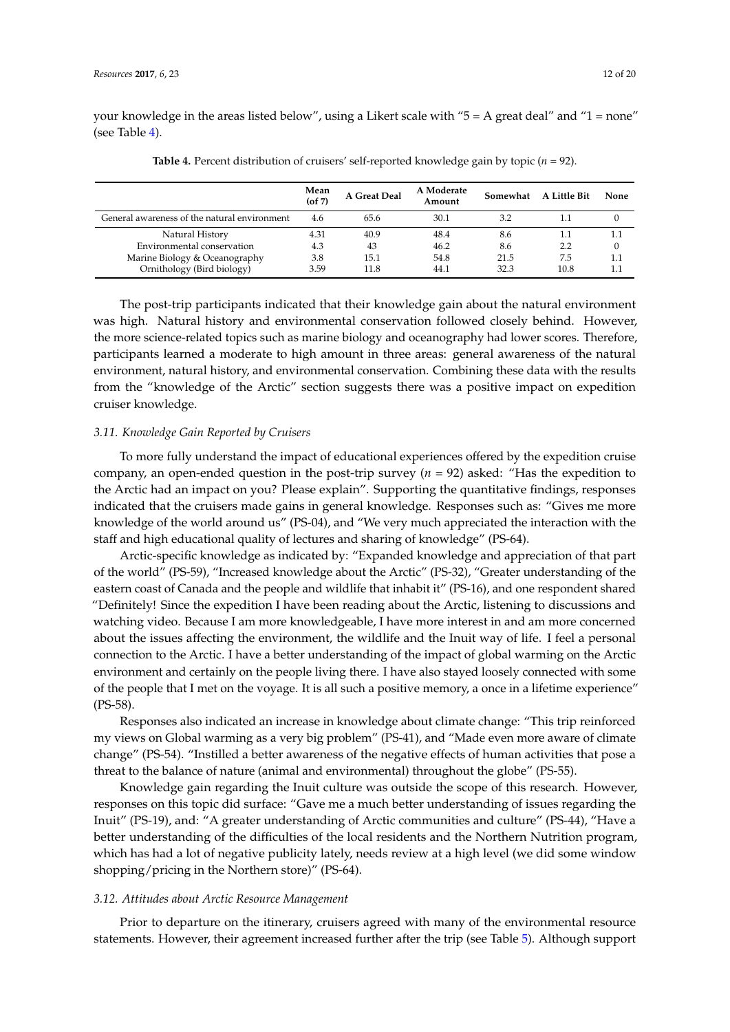<span id="page-11-0"></span>your knowledge in the areas listed below", using a Likert scale with " $5 = A$  great deal" and "1 = none" (see Table [4\)](#page-11-0).

|                                              | Mean<br>$($ of $7)$ | A Great Deal | A Moderate<br>Amount | Somewhat | A Little Bit | <b>None</b> |
|----------------------------------------------|---------------------|--------------|----------------------|----------|--------------|-------------|
| General awareness of the natural environment | 4.6                 | 65.6         | 30.1                 | 3.2      | 1.1          |             |
| Natural History                              | 4.31                | 40.9         | 48.4                 | 8.6      | 1.1          | 1.1         |
| Environmental conservation                   | 4.3                 | 43           | 46.2                 | 8.6      | 2.2          | 0           |
| Marine Biology & Oceanography                | 3.8                 | 15.1         | 54.8                 | 21.5     | 7.5          | 1.1         |
| Ornithology (Bird biology)                   | 3.59                | 11.8         | 44.1                 | 32.3     | 10.8         | 1.1         |

**Table 4.** Percent distribution of cruisers' self-reported knowledge gain by topic (*n* = 92).

The post-trip participants indicated that their knowledge gain about the natural environment was high. Natural history and environmental conservation followed closely behind. However, the more science-related topics such as marine biology and oceanography had lower scores. Therefore, participants learned a moderate to high amount in three areas: general awareness of the natural environment, natural history, and environmental conservation. Combining these data with the results from the "knowledge of the Arctic" section suggests there was a positive impact on expedition cruiser knowledge.

#### *3.11. Knowledge Gain Reported by Cruisers*

To more fully understand the impact of educational experiences offered by the expedition cruise company, an open-ended question in the post-trip survey (*n* = 92) asked: "Has the expedition to the Arctic had an impact on you? Please explain". Supporting the quantitative findings, responses indicated that the cruisers made gains in general knowledge. Responses such as: "Gives me more knowledge of the world around us" (PS-04), and "We very much appreciated the interaction with the staff and high educational quality of lectures and sharing of knowledge" (PS-64).

Arctic-specific knowledge as indicated by: "Expanded knowledge and appreciation of that part of the world" (PS-59), "Increased knowledge about the Arctic" (PS-32), "Greater understanding of the eastern coast of Canada and the people and wildlife that inhabit it" (PS-16), and one respondent shared "Definitely! Since the expedition I have been reading about the Arctic, listening to discussions and watching video. Because I am more knowledgeable, I have more interest in and am more concerned about the issues affecting the environment, the wildlife and the Inuit way of life. I feel a personal connection to the Arctic. I have a better understanding of the impact of global warming on the Arctic environment and certainly on the people living there. I have also stayed loosely connected with some of the people that I met on the voyage. It is all such a positive memory, a once in a lifetime experience" (PS-58).

Responses also indicated an increase in knowledge about climate change: "This trip reinforced my views on Global warming as a very big problem" (PS-41), and "Made even more aware of climate change" (PS-54). "Instilled a better awareness of the negative effects of human activities that pose a threat to the balance of nature (animal and environmental) throughout the globe" (PS-55).

Knowledge gain regarding the Inuit culture was outside the scope of this research. However, responses on this topic did surface: "Gave me a much better understanding of issues regarding the Inuit" (PS-19), and: "A greater understanding of Arctic communities and culture" (PS-44), "Have a better understanding of the difficulties of the local residents and the Northern Nutrition program, which has had a lot of negative publicity lately, needs review at a high level (we did some window shopping/pricing in the Northern store)" (PS-64).

#### *3.12. Attitudes about Arctic Resource Management*

Prior to departure on the itinerary, cruisers agreed with many of the environmental resource statements. However, their agreement increased further after the trip (see Table [5\)](#page-12-0). Although support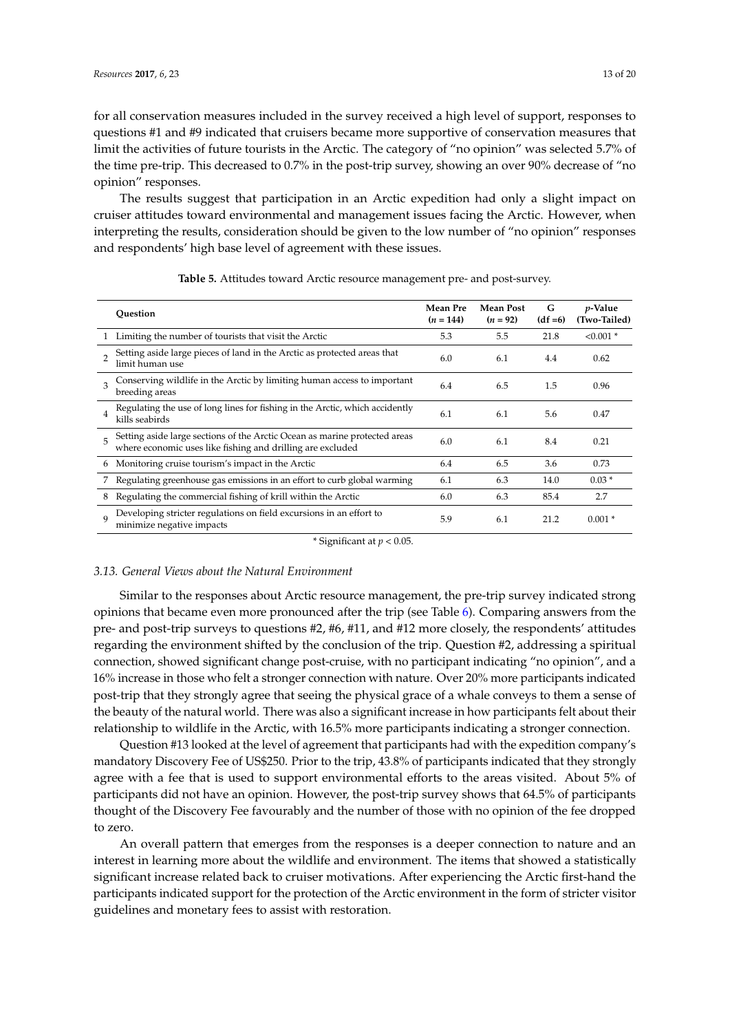for all conservation measures included in the survey received a high level of support, responses to questions #1 and #9 indicated that cruisers became more supportive of conservation measures that limit the activities of future tourists in the Arctic. The category of "no opinion" was selected 5.7% of the time pre-trip. This decreased to 0.7% in the post-trip survey, showing an over 90% decrease of "no opinion" responses.

The results suggest that participation in an Arctic expedition had only a slight impact on cruiser attitudes toward environmental and management issues facing the Arctic. However, when interpreting the results, consideration should be given to the low number of "no opinion" responses and respondents' high base level of agreement with these issues.

<span id="page-12-0"></span>

|                | <b>Ouestion</b>                                                                                                                          | <b>Mean Pre</b><br>$(n = 144)$ | Mean Post<br>$(n = 92)$ | G<br>$(df = 6)$ | <i>v</i> -Value<br>(Two-Tailed) |
|----------------|------------------------------------------------------------------------------------------------------------------------------------------|--------------------------------|-------------------------|-----------------|---------------------------------|
|                | Limiting the number of tourists that visit the Arctic                                                                                    | 5.3                            | 5.5                     | 21.8            | $< 0.001$ *                     |
|                | Setting aside large pieces of land in the Arctic as protected areas that<br>limit human use                                              | 6.0                            | 6.1                     | 4.4             | 0.62                            |
|                | Conserving wildlife in the Arctic by limiting human access to important<br>breeding areas                                                | 6.4                            | 6.5                     | 1.5             | 0.96                            |
|                | Regulating the use of long lines for fishing in the Arctic, which accidently<br>kills seabirds                                           | 6.1                            | 6.1                     | 5.6             | 0.47                            |
| $\overline{5}$ | Setting aside large sections of the Arctic Ocean as marine protected areas<br>where economic uses like fishing and drilling are excluded | 6.0                            | 6.1                     | 8.4             | 0.21                            |
|                | Monitoring cruise tourism's impact in the Arctic                                                                                         | 6.4                            | 6.5                     | 3.6             | 0.73                            |
| 7              | Regulating greenhouse gas emissions in an effort to curb global warming                                                                  | 6.1                            | 6.3                     | 14.0            | $0.03*$                         |
| 8              | Regulating the commercial fishing of krill within the Arctic                                                                             | 6.0                            | 6.3                     | 85.4            | 2.7                             |
|                | Developing stricter regulations on field excursions in an effort to<br>minimize negative impacts                                         | 5.9                            | 6.1                     | 21.2            | $0.001*$                        |

**Table 5.** Attitudes toward Arctic resource management pre- and post-survey.

\* Significant at *p* < 0.05.

#### *3.13. General Views about the Natural Environment*

Similar to the responses about Arctic resource management, the pre-trip survey indicated strong opinions that became even more pronounced after the trip (see Table [6\)](#page-13-0). Comparing answers from the pre- and post-trip surveys to questions #2, #6, #11, and #12 more closely, the respondents' attitudes regarding the environment shifted by the conclusion of the trip. Question #2, addressing a spiritual connection, showed significant change post-cruise, with no participant indicating "no opinion", and a 16% increase in those who felt a stronger connection with nature. Over 20% more participants indicated post-trip that they strongly agree that seeing the physical grace of a whale conveys to them a sense of the beauty of the natural world. There was also a significant increase in how participants felt about their relationship to wildlife in the Arctic, with 16.5% more participants indicating a stronger connection.

Question #13 looked at the level of agreement that participants had with the expedition company's mandatory Discovery Fee of US\$250. Prior to the trip, 43.8% of participants indicated that they strongly agree with a fee that is used to support environmental efforts to the areas visited. About 5% of participants did not have an opinion. However, the post-trip survey shows that 64.5% of participants thought of the Discovery Fee favourably and the number of those with no opinion of the fee dropped to zero.

An overall pattern that emerges from the responses is a deeper connection to nature and an interest in learning more about the wildlife and environment. The items that showed a statistically significant increase related back to cruiser motivations. After experiencing the Arctic first-hand the participants indicated support for the protection of the Arctic environment in the form of stricter visitor guidelines and monetary fees to assist with restoration.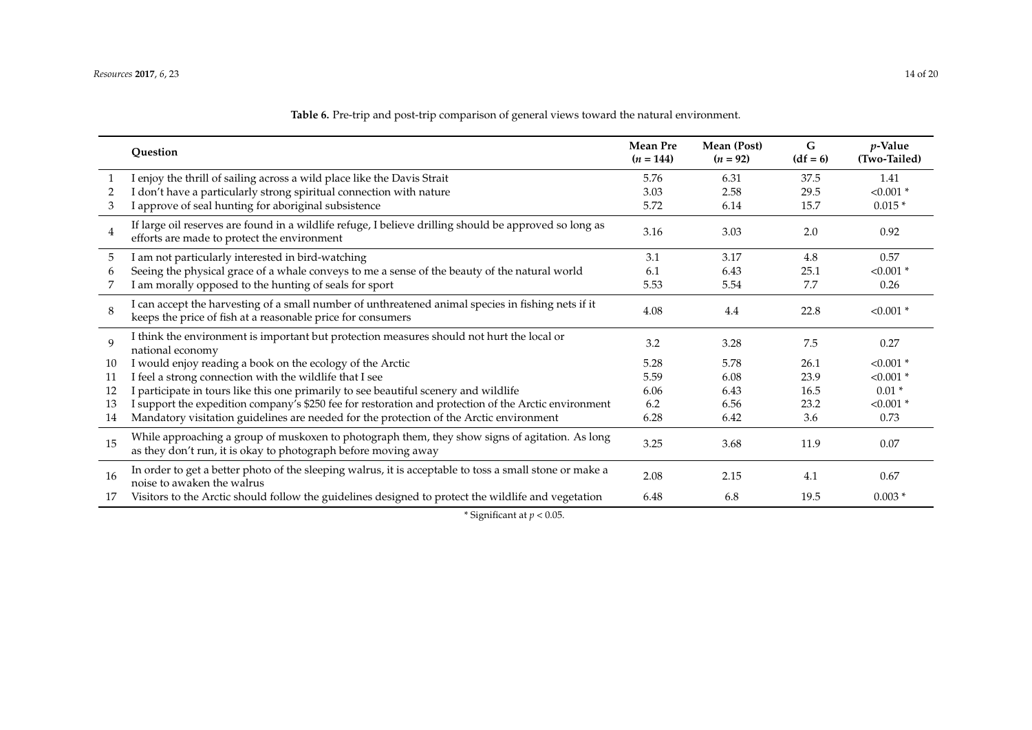<span id="page-13-0"></span>

|                | Question                                                                                                                                                          | Mean Pre<br>$(n = 144)$ | Mean (Post)<br>$(n = 92)$ | G<br>$(df = 6)$ | $p$ -Value<br>(Two-Tailed) |
|----------------|-------------------------------------------------------------------------------------------------------------------------------------------------------------------|-------------------------|---------------------------|-----------------|----------------------------|
|                | I enjoy the thrill of sailing across a wild place like the Davis Strait                                                                                           | 5.76                    | 6.31                      | 37.5            | 1.41                       |
| 2              | I don't have a particularly strong spiritual connection with nature                                                                                               | 3.03                    | 2.58                      | 29.5            | $< 0.001$ *                |
| 3              | I approve of seal hunting for aboriginal subsistence                                                                                                              | 5.72                    | 6.14                      | 15.7            | $0.015*$                   |
| $\overline{4}$ | If large oil reserves are found in a wildlife refuge, I believe drilling should be approved so long as<br>efforts are made to protect the environment             | 3.16                    | 3.03                      | 2.0             | 0.92                       |
| 5              | I am not particularly interested in bird-watching                                                                                                                 | 3.1                     | 3.17                      | 4.8             | 0.57                       |
| 6              | Seeing the physical grace of a whale conveys to me a sense of the beauty of the natural world                                                                     | 6.1                     | 6.43                      | 25.1            | $< 0.001$ *                |
|                | I am morally opposed to the hunting of seals for sport                                                                                                            | 5.53                    | 5.54                      | 7.7             | 0.26                       |
| 8              | I can accept the harvesting of a small number of unthreatened animal species in fishing nets if it<br>keeps the price of fish at a reasonable price for consumers | 4.08                    | 4.4                       | 22.8            | $< 0.001$ *                |
| 9              | I think the environment is important but protection measures should not hurt the local or<br>national economy                                                     | 3.2                     | 3.28                      | 7.5             | 0.27                       |
| 10             | I would enjoy reading a book on the ecology of the Arctic                                                                                                         | 5.28                    | 5.78                      | 26.1            | $< 0.001$ *                |
| 11             | I feel a strong connection with the wildlife that I see                                                                                                           | 5.59                    | 6.08                      | 23.9            | $< 0.001$ *                |
| 12             | I participate in tours like this one primarily to see beautiful scenery and wildlife                                                                              | 6.06                    | 6.43                      | 16.5            | $0.01*$                    |
| 13             | I support the expedition company's \$250 fee for restoration and protection of the Arctic environment                                                             | 6.2                     | 6.56                      | 23.2            | $< 0.001$ *                |
| 14             | Mandatory visitation guidelines are needed for the protection of the Arctic environment                                                                           | 6.28                    | 6.42                      | 3.6             | 0.73                       |
| 15             | While approaching a group of muskoxen to photograph them, they show signs of agitation. As long<br>as they don't run, it is okay to photograph before moving away | 3.25                    | 3.68                      | 11.9            | 0.07                       |
| 16             | In order to get a better photo of the sleeping walrus, it is acceptable to toss a small stone or make a<br>noise to awaken the walrus                             | 2.08                    | 2.15                      | 4.1             | 0.67                       |
| 17             | Visitors to the Arctic should follow the guidelines designed to protect the wildlife and vegetation                                                               | 6.48                    | 6.8                       | 19.5            | $0.003*$                   |

# **Table 6.** Pre-trip and post-trip comparison of general views toward the natural environment.

\* Significant at *p* < 0.05.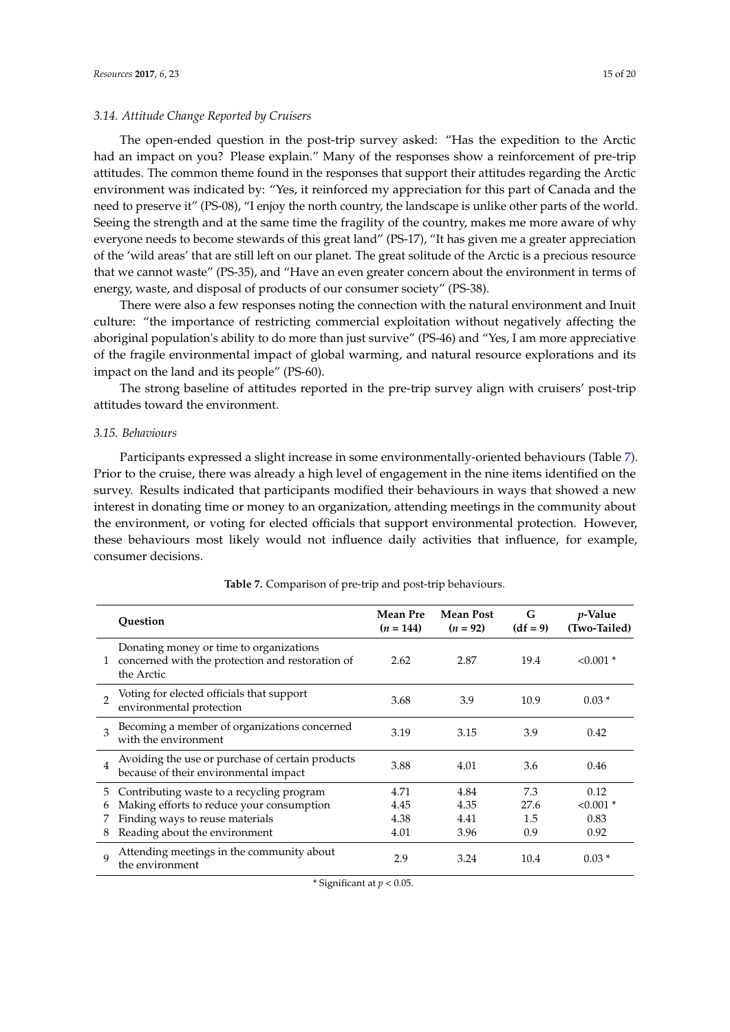#### *3.14. Attitude Change Reported by Cruisers*

The open-ended question in the post-trip survey asked: "Has the expedition to the Arctic had an impact on you? Please explain." Many of the responses show a reinforcement of pre-trip attitudes. The common theme found in the responses that support their attitudes regarding the Arctic environment was indicated by: "Yes, it reinforced my appreciation for this part of Canada and the need to preserve it" (PS-08), "I enjoy the north country, the landscape is unlike other parts of the world. Seeing the strength and at the same time the fragility of the country, makes me more aware of why everyone needs to become stewards of this great land" (PS-17), "It has given me a greater appreciation of the 'wild areas' that are still left on our planet. The great solitude of the Arctic is a precious resource that we cannot waste" (PS-35), and "Have an even greater concern about the environment in terms of energy, waste, and disposal of products of our consumer society" (PS-38).

There were also a few responses noting the connection with the natural environment and Inuit culture: "the importance of restricting commercial exploitation without negatively affecting the aboriginal population's ability to do more than just survive" (PS-46) and "Yes, I am more appreciative of the fragile environmental impact of global warming, and natural resource explorations and its impact on the land and its people" (PS-60).

The strong baseline of attitudes reported in the pre-trip survey align with cruisers' post-trip attitudes toward the environment.

#### *3.15. Behaviours*

Participants expressed a slight increase in some environmentally-oriented behaviours (Table [7\)](#page-14-0). Prior to the cruise, there was already a high level of engagement in the nine items identified on the survey. Results indicated that participants modified their behaviours in ways that showed a new interest in donating time or money to an organization, attending meetings in the community about the environment, or voting for elected officials that support environmental protection. However, these behaviours most likely would not influence daily activities that influence, for example, consumer decisions.

<span id="page-14-0"></span>

|                | Question                                                                                                  | <b>Mean Pre</b><br>$(n = 144)$ | <b>Mean Post</b><br>$(n = 92)$ | G<br>$(df = 9)$ | <i>p</i> -Value<br>(Two-Tailed) |
|----------------|-----------------------------------------------------------------------------------------------------------|--------------------------------|--------------------------------|-----------------|---------------------------------|
|                | Donating money or time to organizations<br>concerned with the protection and restoration of<br>the Arctic | 2.62                           | 2.87                           | 19.4            | $< 0.001$ *                     |
| $\mathcal{D}$  | Voting for elected officials that support<br>environmental protection                                     | 3.68                           | 3.9                            | 10.9            | $0.03*$                         |
| $\mathbf{z}$   | Becoming a member of organizations concerned<br>with the environment                                      | 3.19                           | 3.15                           | 3.9             | 0.42                            |
| $\overline{4}$ | Avoiding the use or purchase of certain products<br>because of their environmental impact                 | 3.88                           | 4.01                           | 3.6             | 0.46                            |
|                | 5 Contributing waste to a recycling program                                                               | 4.71                           | 4.84                           | 7.3             | 0.12                            |
| 6              | Making efforts to reduce your consumption                                                                 | 4.45                           | 4.35                           | 27.6            | $< 0.001$ *                     |
|                | Finding ways to reuse materials                                                                           | 4.38                           | 4.41                           | 1.5             | 0.83                            |
| 8              | Reading about the environment                                                                             | 4.01                           | 3.96                           | 0.9             | 0.92                            |
| $\alpha$       | Attending meetings in the community about<br>the environment                                              | 2.9                            | 3.24                           | 10.4            | $0.03*$                         |

#### **Table 7.** Comparison of pre-trip and post-trip behaviours.

\* Significant at *p* < 0.05.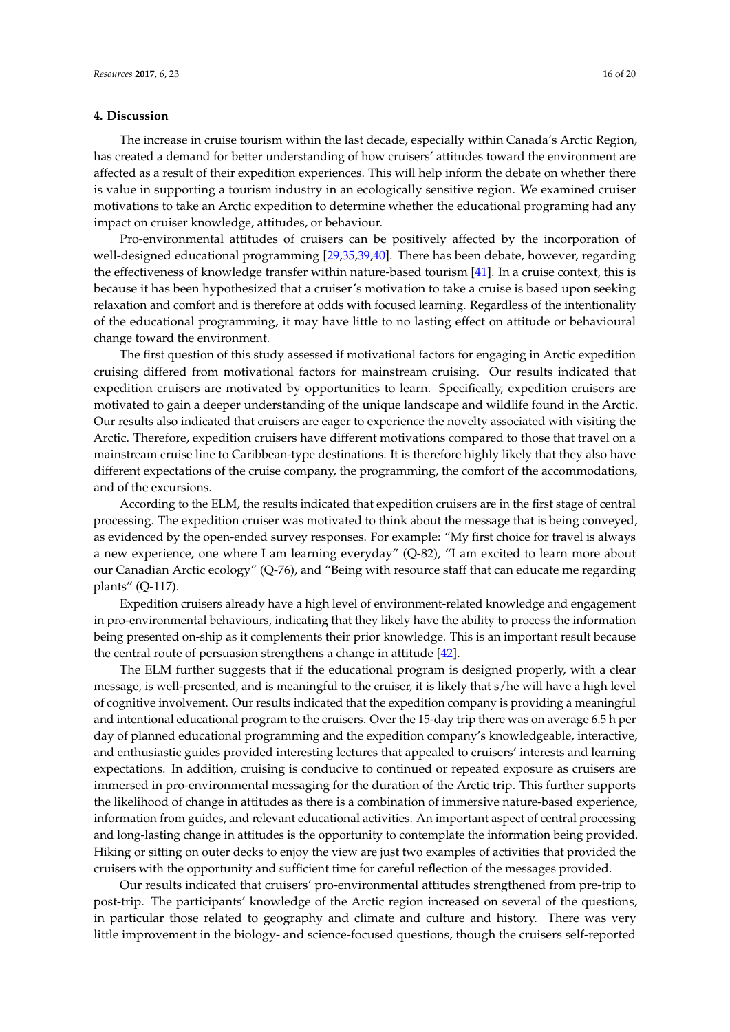#### **4. Discussion**

The increase in cruise tourism within the last decade, especially within Canada's Arctic Region, has created a demand for better understanding of how cruisers' attitudes toward the environment are affected as a result of their expedition experiences. This will help inform the debate on whether there is value in supporting a tourism industry in an ecologically sensitive region. We examined cruiser motivations to take an Arctic expedition to determine whether the educational programing had any impact on cruiser knowledge, attitudes, or behaviour.

Pro-environmental attitudes of cruisers can be positively affected by the incorporation of well-designed educational programming [\[29](#page-18-13)[,35](#page-18-19)[,39](#page-18-23)[,40\]](#page-18-24). There has been debate, however, regarding the effectiveness of knowledge transfer within nature-based tourism [\[41\]](#page-18-25). In a cruise context, this is because it has been hypothesized that a cruiser's motivation to take a cruise is based upon seeking relaxation and comfort and is therefore at odds with focused learning. Regardless of the intentionality of the educational programming, it may have little to no lasting effect on attitude or behavioural change toward the environment.

The first question of this study assessed if motivational factors for engaging in Arctic expedition cruising differed from motivational factors for mainstream cruising. Our results indicated that expedition cruisers are motivated by opportunities to learn. Specifically, expedition cruisers are motivated to gain a deeper understanding of the unique landscape and wildlife found in the Arctic. Our results also indicated that cruisers are eager to experience the novelty associated with visiting the Arctic. Therefore, expedition cruisers have different motivations compared to those that travel on a mainstream cruise line to Caribbean-type destinations. It is therefore highly likely that they also have different expectations of the cruise company, the programming, the comfort of the accommodations, and of the excursions.

According to the ELM, the results indicated that expedition cruisers are in the first stage of central processing. The expedition cruiser was motivated to think about the message that is being conveyed, as evidenced by the open-ended survey responses. For example: "My first choice for travel is always a new experience, one where I am learning everyday" (Q-82), "I am excited to learn more about our Canadian Arctic ecology" (Q-76), and "Being with resource staff that can educate me regarding plants" (Q-117).

Expedition cruisers already have a high level of environment-related knowledge and engagement in pro-environmental behaviours, indicating that they likely have the ability to process the information being presented on-ship as it complements their prior knowledge. This is an important result because the central route of persuasion strengthens a change in attitude [\[42\]](#page-19-0).

The ELM further suggests that if the educational program is designed properly, with a clear message, is well-presented, and is meaningful to the cruiser, it is likely that s/he will have a high level of cognitive involvement. Our results indicated that the expedition company is providing a meaningful and intentional educational program to the cruisers. Over the 15-day trip there was on average 6.5 h per day of planned educational programming and the expedition company's knowledgeable, interactive, and enthusiastic guides provided interesting lectures that appealed to cruisers' interests and learning expectations. In addition, cruising is conducive to continued or repeated exposure as cruisers are immersed in pro-environmental messaging for the duration of the Arctic trip. This further supports the likelihood of change in attitudes as there is a combination of immersive nature-based experience, information from guides, and relevant educational activities. An important aspect of central processing and long-lasting change in attitudes is the opportunity to contemplate the information being provided. Hiking or sitting on outer decks to enjoy the view are just two examples of activities that provided the cruisers with the opportunity and sufficient time for careful reflection of the messages provided.

Our results indicated that cruisers' pro-environmental attitudes strengthened from pre-trip to post-trip. The participants' knowledge of the Arctic region increased on several of the questions, in particular those related to geography and climate and culture and history. There was very little improvement in the biology- and science-focused questions, though the cruisers self-reported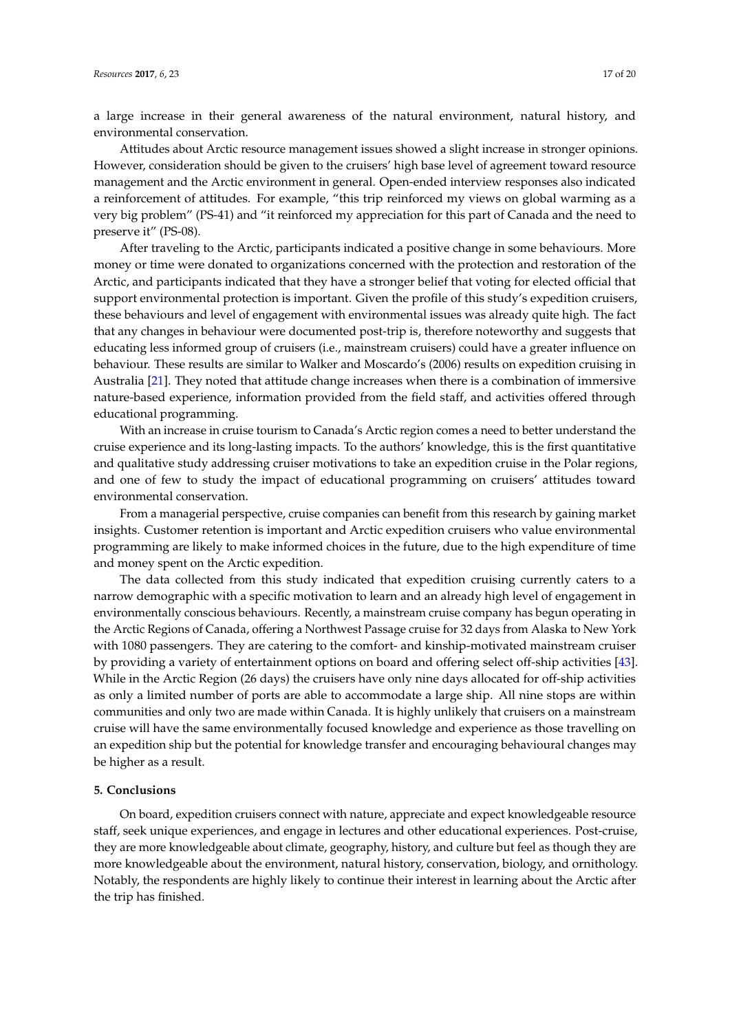a large increase in their general awareness of the natural environment, natural history, and environmental conservation.

Attitudes about Arctic resource management issues showed a slight increase in stronger opinions. However, consideration should be given to the cruisers' high base level of agreement toward resource management and the Arctic environment in general. Open-ended interview responses also indicated a reinforcement of attitudes. For example, "this trip reinforced my views on global warming as a very big problem" (PS-41) and "it reinforced my appreciation for this part of Canada and the need to preserve it" (PS-08).

After traveling to the Arctic, participants indicated a positive change in some behaviours. More money or time were donated to organizations concerned with the protection and restoration of the Arctic, and participants indicated that they have a stronger belief that voting for elected official that support environmental protection is important. Given the profile of this study's expedition cruisers, these behaviours and level of engagement with environmental issues was already quite high. The fact that any changes in behaviour were documented post-trip is, therefore noteworthy and suggests that educating less informed group of cruisers (i.e., mainstream cruisers) could have a greater influence on behaviour. These results are similar to Walker and Moscardo's (2006) results on expedition cruising in Australia [\[21\]](#page-18-5). They noted that attitude change increases when there is a combination of immersive nature-based experience, information provided from the field staff, and activities offered through educational programming.

With an increase in cruise tourism to Canada's Arctic region comes a need to better understand the cruise experience and its long-lasting impacts. To the authors' knowledge, this is the first quantitative and qualitative study addressing cruiser motivations to take an expedition cruise in the Polar regions, and one of few to study the impact of educational programming on cruisers' attitudes toward environmental conservation.

From a managerial perspective, cruise companies can benefit from this research by gaining market insights. Customer retention is important and Arctic expedition cruisers who value environmental programming are likely to make informed choices in the future, due to the high expenditure of time and money spent on the Arctic expedition.

The data collected from this study indicated that expedition cruising currently caters to a narrow demographic with a specific motivation to learn and an already high level of engagement in environmentally conscious behaviours. Recently, a mainstream cruise company has begun operating in the Arctic Regions of Canada, offering a Northwest Passage cruise for 32 days from Alaska to New York with 1080 passengers. They are catering to the comfort- and kinship-motivated mainstream cruiser by providing a variety of entertainment options on board and offering select off-ship activities [\[43\]](#page-19-1). While in the Arctic Region (26 days) the cruisers have only nine days allocated for off-ship activities as only a limited number of ports are able to accommodate a large ship. All nine stops are within communities and only two are made within Canada. It is highly unlikely that cruisers on a mainstream cruise will have the same environmentally focused knowledge and experience as those travelling on an expedition ship but the potential for knowledge transfer and encouraging behavioural changes may be higher as a result.

#### **5. Conclusions**

On board, expedition cruisers connect with nature, appreciate and expect knowledgeable resource staff, seek unique experiences, and engage in lectures and other educational experiences. Post-cruise, they are more knowledgeable about climate, geography, history, and culture but feel as though they are more knowledgeable about the environment, natural history, conservation, biology, and ornithology. Notably, the respondents are highly likely to continue their interest in learning about the Arctic after the trip has finished.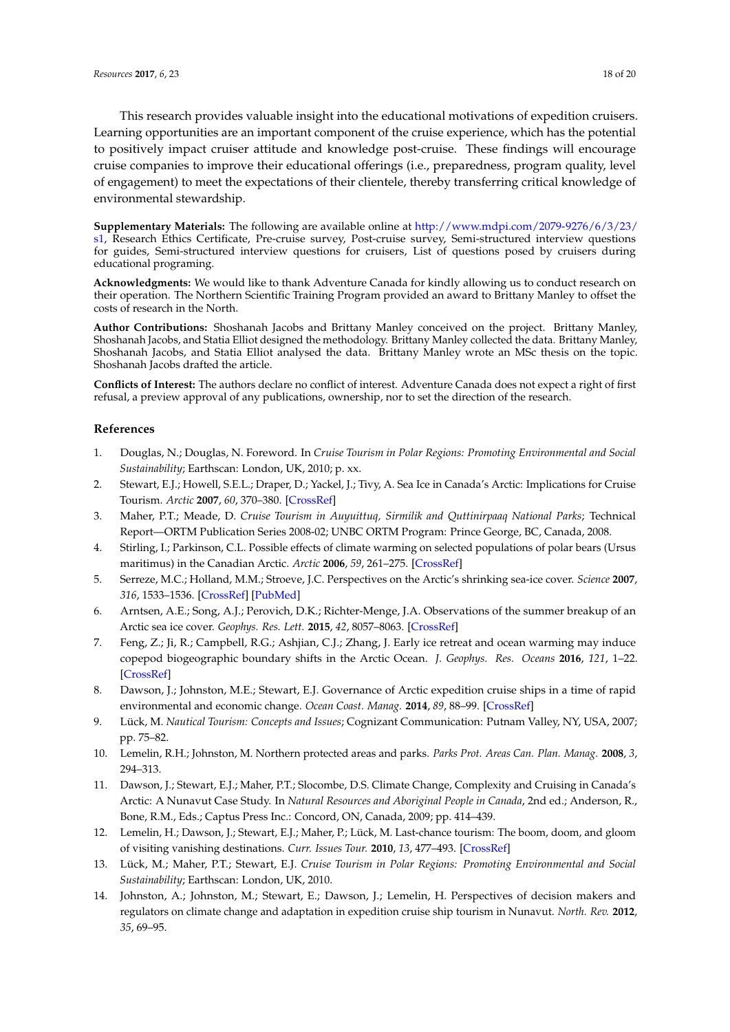This research provides valuable insight into the educational motivations of expedition cruisers. Learning opportunities are an important component of the cruise experience, which has the potential to positively impact cruiser attitude and knowledge post-cruise. These findings will encourage cruise companies to improve their educational offerings (i.e., preparedness, program quality, level of engagement) to meet the expectations of their clientele, thereby transferring critical knowledge of environmental stewardship.

**Supplementary Materials:** The following are available online at [http://www.mdpi.com/2079-9276/6/3/23/](http://www.mdpi.com/2079-9276/6/3/23/s1) [s1,](http://www.mdpi.com/2079-9276/6/3/23/s1) Research Ethics Certificate, Pre-cruise survey, Post-cruise survey, Semi-structured interview questions for guides, Semi-structured interview questions for cruisers, List of questions posed by cruisers during educational programing.

**Acknowledgments:** We would like to thank Adventure Canada for kindly allowing us to conduct research on their operation. The Northern Scientific Training Program provided an award to Brittany Manley to offset the costs of research in the North.

**Author Contributions:** Shoshanah Jacobs and Brittany Manley conceived on the project. Brittany Manley, Shoshanah Jacobs, and Statia Elliot designed the methodology. Brittany Manley collected the data. Brittany Manley, Shoshanah Jacobs, and Statia Elliot analysed the data. Brittany Manley wrote an MSc thesis on the topic. Shoshanah Jacobs drafted the article.

**Conflicts of Interest:** The authors declare no conflict of interest. Adventure Canada does not expect a right of first refusal, a preview approval of any publications, ownership, nor to set the direction of the research.

#### **References**

- <span id="page-17-0"></span>1. Douglas, N.; Douglas, N. Foreword. In *Cruise Tourism in Polar Regions: Promoting Environmental and Social Sustainability*; Earthscan: London, UK, 2010; p. xx.
- <span id="page-17-1"></span>2. Stewart, E.J.; Howell, S.E.L.; Draper, D.; Yackel, J.; Tivy, A. Sea Ice in Canada's Arctic: Implications for Cruise Tourism. *Arctic* **2007**, *60*, 370–380. [\[CrossRef\]](http://dx.doi.org/10.14430/arctic194)
- <span id="page-17-2"></span>3. Maher, P.T.; Meade, D. *Cruise Tourism in Auyuittuq, Sirmilik and Quttinirpaaq National Parks*; Technical Report—ORTM Publication Series 2008-02; UNBC ORTM Program: Prince George, BC, Canada, 2008.
- <span id="page-17-3"></span>4. Stirling, I.; Parkinson, C.L. Possible effects of climate warming on selected populations of polar bears (Ursus maritimus) in the Canadian Arctic. *Arctic* **2006**, *59*, 261–275. [\[CrossRef\]](http://dx.doi.org/10.14430/arctic312)
- 5. Serreze, M.C.; Holland, M.M.; Stroeve, J.C. Perspectives on the Arctic's shrinking sea-ice cover. *Science* **2007**, *316*, 1533–1536. [\[CrossRef\]](http://dx.doi.org/10.1126/science.1139426) [\[PubMed\]](http://www.ncbi.nlm.nih.gov/pubmed/17363664)
- 6. Arntsen, A.E.; Song, A.J.; Perovich, D.K.; Richter-Menge, J.A. Observations of the summer breakup of an Arctic sea ice cover. *Geophys. Res. Lett.* **2015**, *42*, 8057–8063. [\[CrossRef\]](http://dx.doi.org/10.1002/2015GL065224)
- <span id="page-17-4"></span>7. Feng, Z.; Ji, R.; Campbell, R.G.; Ashjian, C.J.; Zhang, J. Early ice retreat and ocean warming may induce copepod biogeographic boundary shifts in the Arctic Ocean. *J. Geophys. Res. Oceans* **2016**, *121*, 1–22. [\[CrossRef\]](http://dx.doi.org/10.1002/2016JC011784)
- <span id="page-17-5"></span>8. Dawson, J.; Johnston, M.E.; Stewart, E.J. Governance of Arctic expedition cruise ships in a time of rapid environmental and economic change. *Ocean Coast. Manag.* **2014**, *89*, 88–99. [\[CrossRef\]](http://dx.doi.org/10.1016/j.ocecoaman.2013.12.005)
- <span id="page-17-6"></span>9. Lück, M. *Nautical Tourism: Concepts and Issues*; Cognizant Communication: Putnam Valley, NY, USA, 2007; pp. 75–82.
- 10. Lemelin, R.H.; Johnston, M. Northern protected areas and parks. *Parks Prot. Areas Can. Plan. Manag.* **2008**, *3*, 294–313.
- 11. Dawson, J.; Stewart, E.J.; Maher, P.T.; Slocombe, D.S. Climate Change, Complexity and Cruising in Canada's Arctic: A Nunavut Case Study. In *Natural Resources and Aboriginal People in Canada*, 2nd ed.; Anderson, R., Bone, R.M., Eds.; Captus Press Inc.: Concord, ON, Canada, 2009; pp. 414–439.
- 12. Lemelin, H.; Dawson, J.; Stewart, E.J.; Maher, P.; Lück, M. Last-chance tourism: The boom, doom, and gloom of visiting vanishing destinations. *Curr. Issues Tour.* **2010**, *13*, 477–493. [\[CrossRef\]](http://dx.doi.org/10.1080/13683500903406367)
- <span id="page-17-7"></span>13. Lück, M.; Maher, P.T.; Stewart, E.J. *Cruise Tourism in Polar Regions: Promoting Environmental and Social Sustainability*; Earthscan: London, UK, 2010.
- 14. Johnston, A.; Johnston, M.; Stewart, E.; Dawson, J.; Lemelin, H. Perspectives of decision makers and regulators on climate change and adaptation in expedition cruise ship tourism in Nunavut. *North. Rev.* **2012**, *35*, 69–95.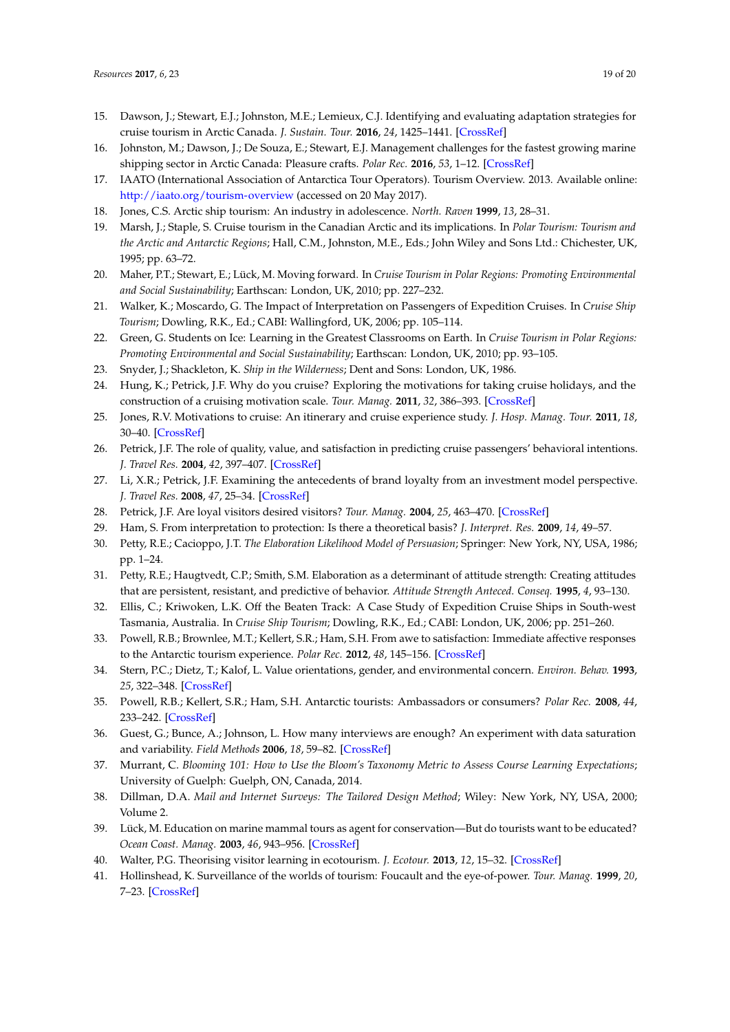- 15. Dawson, J.; Stewart, E.J.; Johnston, M.E.; Lemieux, C.J. Identifying and evaluating adaptation strategies for cruise tourism in Arctic Canada. *J. Sustain. Tour.* **2016**, *24*, 1425–1441. [\[CrossRef\]](http://dx.doi.org/10.1080/09669582.2015.1125358)
- <span id="page-18-0"></span>16. Johnston, M.; Dawson, J.; De Souza, E.; Stewart, E.J. Management challenges for the fastest growing marine shipping sector in Arctic Canada: Pleasure crafts. *Polar Rec.* **2016**, *53*, 1–12. [\[CrossRef\]](http://dx.doi.org/10.1017/S0032247416000565)
- <span id="page-18-1"></span>17. IAATO (International Association of Antarctica Tour Operators). Tourism Overview. 2013. Available online: <http://iaato.org/tourism-overview> (accessed on 20 May 2017).
- <span id="page-18-2"></span>18. Jones, C.S. Arctic ship tourism: An industry in adolescence. *North. Raven* **1999**, *13*, 28–31.
- <span id="page-18-3"></span>19. Marsh, J.; Staple, S. Cruise tourism in the Canadian Arctic and its implications. In *Polar Tourism: Tourism and the Arctic and Antarctic Regions*; Hall, C.M., Johnston, M.E., Eds.; John Wiley and Sons Ltd.: Chichester, UK, 1995; pp. 63–72.
- <span id="page-18-4"></span>20. Maher, P.T.; Stewart, E.; Lück, M. Moving forward. In *Cruise Tourism in Polar Regions: Promoting Environmental and Social Sustainability*; Earthscan: London, UK, 2010; pp. 227–232.
- <span id="page-18-5"></span>21. Walker, K.; Moscardo, G. The Impact of Interpretation on Passengers of Expedition Cruises. In *Cruise Ship Tourism*; Dowling, R.K., Ed.; CABI: Wallingford, UK, 2006; pp. 105–114.
- <span id="page-18-6"></span>22. Green, G. Students on Ice: Learning in the Greatest Classrooms on Earth. In *Cruise Tourism in Polar Regions: Promoting Environmental and Social Sustainability*; Earthscan: London, UK, 2010; pp. 93–105.
- <span id="page-18-7"></span>23. Snyder, J.; Shackleton, K. *Ship in the Wilderness*; Dent and Sons: London, UK, 1986.
- <span id="page-18-8"></span>24. Hung, K.; Petrick, J.F. Why do you cruise? Exploring the motivations for taking cruise holidays, and the construction of a cruising motivation scale. *Tour. Manag.* **2011**, *32*, 386–393. [\[CrossRef\]](http://dx.doi.org/10.1016/j.tourman.2010.03.008)
- <span id="page-18-9"></span>25. Jones, R.V. Motivations to cruise: An itinerary and cruise experience study. *J. Hosp. Manag. Tour.* **2011**, *18*, 30–40. [\[CrossRef\]](http://dx.doi.org/10.1375/jhtm.18.1.30)
- <span id="page-18-10"></span>26. Petrick, J.F. The role of quality, value, and satisfaction in predicting cruise passengers' behavioral intentions. *J. Travel Res.* **2004**, *42*, 397–407. [\[CrossRef\]](http://dx.doi.org/10.1177/0047287504263037)
- <span id="page-18-11"></span>27. Li, X.R.; Petrick, J.F. Examining the antecedents of brand loyalty from an investment model perspective. *J. Travel Res.* **2008**, *47*, 25–34. [\[CrossRef\]](http://dx.doi.org/10.1177/0047287507312409)
- <span id="page-18-12"></span>28. Petrick, J.F. Are loyal visitors desired visitors? *Tour. Manag.* **2004**, *25*, 463–470. [\[CrossRef\]](http://dx.doi.org/10.1016/S0261-5177(03)00116-X)
- <span id="page-18-13"></span>29. Ham, S. From interpretation to protection: Is there a theoretical basis? *J. Interpret. Res.* **2009**, *14*, 49–57.
- <span id="page-18-14"></span>30. Petty, R.E.; Cacioppo, J.T. *The Elaboration Likelihood Model of Persuasion*; Springer: New York, NY, USA, 1986; pp. 1–24.
- <span id="page-18-15"></span>31. Petty, R.E.; Haugtvedt, C.P.; Smith, S.M. Elaboration as a determinant of attitude strength: Creating attitudes that are persistent, resistant, and predictive of behavior. *Attitude Strength Anteced. Conseq.* **1995**, *4*, 93–130.
- <span id="page-18-16"></span>32. Ellis, C.; Kriwoken, L.K. Off the Beaten Track: A Case Study of Expedition Cruise Ships in South-west Tasmania, Australia. In *Cruise Ship Tourism*; Dowling, R.K., Ed.; CABI: London, UK, 2006; pp. 251–260.
- <span id="page-18-17"></span>33. Powell, R.B.; Brownlee, M.T.; Kellert, S.R.; Ham, S.H. From awe to satisfaction: Immediate affective responses to the Antarctic tourism experience. *Polar Rec.* **2012**, *48*, 145–156. [\[CrossRef\]](http://dx.doi.org/10.1017/S0032247410000720)
- <span id="page-18-18"></span>34. Stern, P.C.; Dietz, T.; Kalof, L. Value orientations, gender, and environmental concern. *Environ. Behav.* **1993**, *25*, 322–348. [\[CrossRef\]](http://dx.doi.org/10.1177/0013916593255002)
- <span id="page-18-19"></span>35. Powell, R.B.; Kellert, S.R.; Ham, S.H. Antarctic tourists: Ambassadors or consumers? *Polar Rec.* **2008**, *44*, 233–242. [\[CrossRef\]](http://dx.doi.org/10.1017/S0032247408007456)
- <span id="page-18-20"></span>36. Guest, G.; Bunce, A.; Johnson, L. How many interviews are enough? An experiment with data saturation and variability. *Field Methods* **2006**, *18*, 59–82. [\[CrossRef\]](http://dx.doi.org/10.1177/1525822X05279903)
- <span id="page-18-21"></span>37. Murrant, C. *Blooming 101: How to Use the Bloom's Taxonomy Metric to Assess Course Learning Expectations*; University of Guelph: Guelph, ON, Canada, 2014.
- <span id="page-18-22"></span>38. Dillman, D.A. *Mail and Internet Surveys: The Tailored Design Method*; Wiley: New York, NY, USA, 2000; Volume 2.
- <span id="page-18-23"></span>39. Lück, M. Education on marine mammal tours as agent for conservation—But do tourists want to be educated? *Ocean Coast. Manag.* **2003**, *46*, 943–956. [\[CrossRef\]](http://dx.doi.org/10.1016/S0964-5691(03)00071-1)
- <span id="page-18-24"></span>40. Walter, P.G. Theorising visitor learning in ecotourism. *J. Ecotour.* **2013**, *12*, 15–32. [\[CrossRef\]](http://dx.doi.org/10.1080/14724049.2012.742093)
- <span id="page-18-25"></span>41. Hollinshead, K. Surveillance of the worlds of tourism: Foucault and the eye-of-power. *Tour. Manag.* **1999**, *20*, 7–23. [\[CrossRef\]](http://dx.doi.org/10.1016/S0261-5177(98)00090-9)